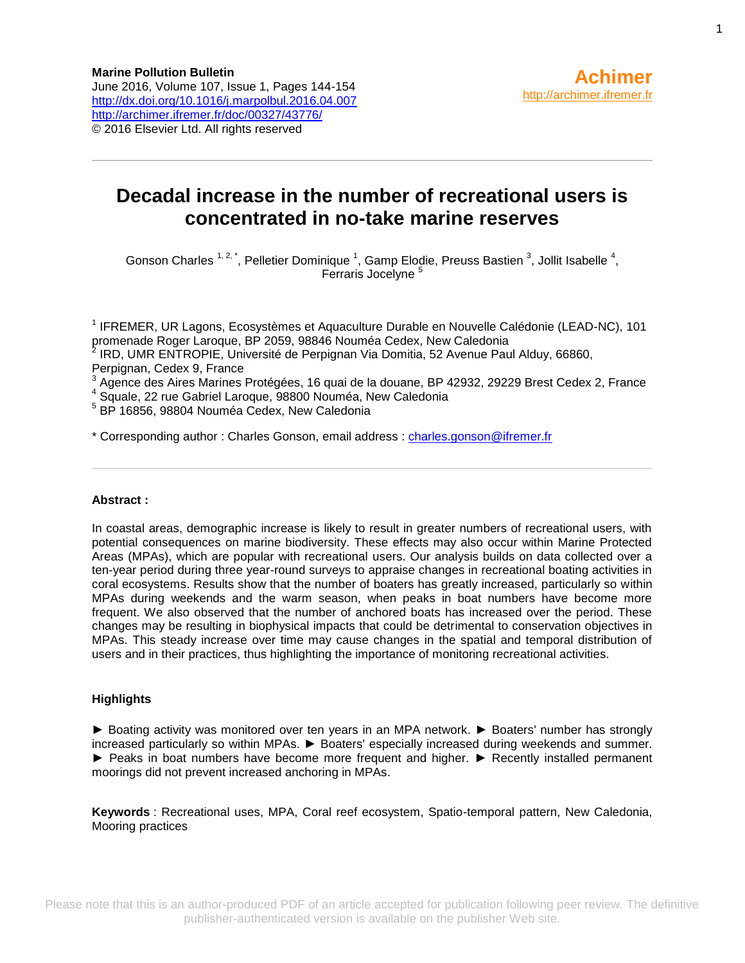# **Decadal increase in the number of recreational users is concentrated in no-take marine reserves**

Gonson Charles  $1, 2, 1$ , Pelletier Dominique  $1$ , Gamp Elodie, Preuss Bastien  $3$ , Jollit Isabelle  $4$ , Ferraris Jocelyne<sup>5</sup>

<sup>1</sup> IFREMER, UR Lagons, Ecosystèmes et Aquaculture Durable en Nouvelle Calédonie (LEAD-NC), 101 promenade Roger Laroque, BP 2059, 98846 Nouméa Cedex, New Caledonia<br><sup>2</sup> JPD J LMB ENTROPIE, Université de Perpirean Vie Perpitie, 52 Avenue Peu

IRD, UMR ENTROPIE, Université de Perpignan Via Domitia, 52 Avenue Paul Alduy, 66860, Perpignan, Cedex 9, France

3 Agence des Aires Marines Protégées, 16 quai de la douane, BP 42932, 29229 Brest Cedex 2, France

4 Squale, 22 rue Gabriel Laroque, 98800 Nouméa, New Caledonia

5 BP 16856, 98804 Nouméa Cedex, New Caledonia

\* Corresponding author : Charles Gonson, email address : [charles.gonson@ifremer.fr](mailto:charles.gonson@ifremer.fr)

#### **Abstract :**

In coastal areas, demographic increase is likely to result in greater numbers of recreational users, with potential consequences on marine biodiversity. These effects may also occur within Marine Protected Areas (MPAs), which are popular with recreational users. Our analysis builds on data collected over a ten-year period during three year-round surveys to appraise changes in recreational boating activities in coral ecosystems. Results show that the number of boaters has greatly increased, particularly so within MPAs during weekends and the warm season, when peaks in boat numbers have become more frequent. We also observed that the number of anchored boats has increased over the period. These changes may be resulting in biophysical impacts that could be detrimental to conservation objectives in MPAs. This steady increase over time may cause changes in the spatial and temporal distribution of users and in their practices, thus highlighting the importance of monitoring recreational activities.

#### **Highlights**

► Boating activity was monitored over ten years in an MPA network. ► Boaters' number has strongly increased particularly so within MPAs. ► Boaters' especially increased during weekends and summer. ► Peaks in boat numbers have become more frequent and higher. ► Recently installed permanent moorings did not prevent increased anchoring in MPAs.

**Keywords** : Recreational uses, MPA, Coral reef ecosystem, Spatio-temporal pattern, New Caledonia, Mooring practices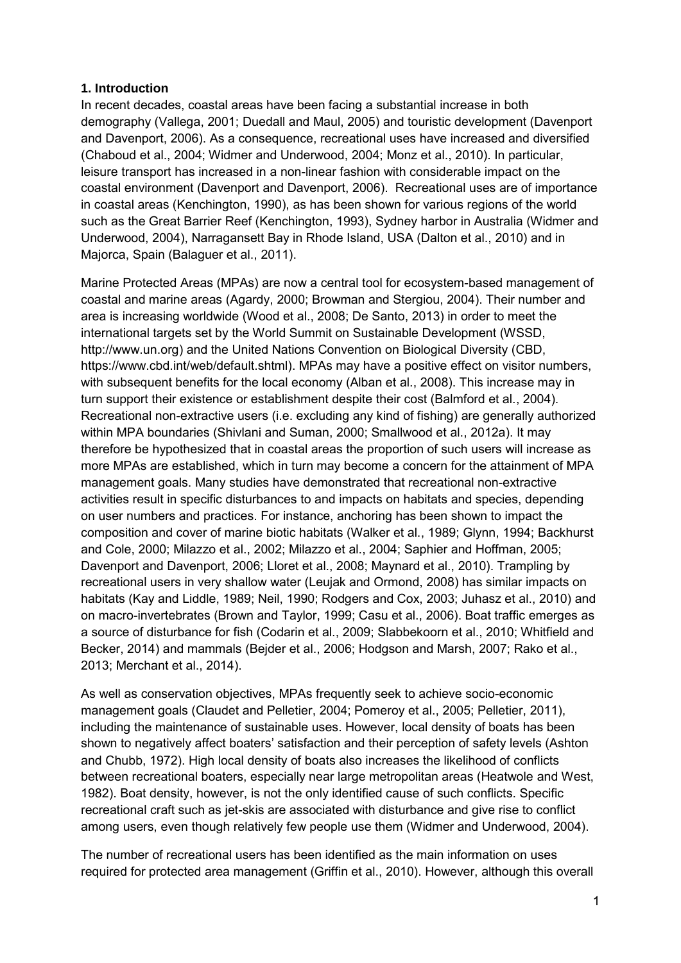### **1. Introduction**

In recent decades, coastal areas have been facing a substantial increase in both demography (Vallega, 2001; Duedall and Maul, 2005) and touristic development (Davenport and Davenport, 2006). As a consequence, recreational uses have increased and diversified (Chaboud et al., 2004; Widmer and Underwood, 2004; Monz et al., 2010). In particular, leisure transport has increased in a non-linear fashion with considerable impact on the coastal environment (Davenport and Davenport, 2006). Recreational uses are of importance in coastal areas (Kenchington, 1990), as has been shown for various regions of the world such as the Great Barrier Reef (Kenchington, 1993), Sydney harbor in Australia (Widmer and Underwood, 2004), Narragansett Bay in Rhode Island, USA (Dalton et al., 2010) and in Majorca, Spain (Balaguer et al., 2011).

Marine Protected Areas (MPAs) are now a central tool for ecosystem-based management of coastal and marine areas (Agardy, 2000; Browman and Stergiou, 2004). Their number and area is increasing worldwide (Wood et al., 2008; De Santo, 2013) in order to meet the international targets set by the World Summit on Sustainable Development (WSSD, http://www.un.org) and the United Nations Convention on Biological Diversity (CBD, https://www.cbd.int/web/default.shtml). MPAs may have a positive effect on visitor numbers, with subsequent benefits for the local economy (Alban et al., 2008). This increase may in turn support their existence or establishment despite their cost (Balmford et al., 2004). Recreational non-extractive users (i.e. excluding any kind of fishing) are generally authorized within MPA boundaries (Shivlani and Suman, 2000; Smallwood et al., 2012a). It may therefore be hypothesized that in coastal areas the proportion of such users will increase as more MPAs are established, which in turn may become a concern for the attainment of MPA management goals. Many studies have demonstrated that recreational non-extractive activities result in specific disturbances to and impacts on habitats and species, depending on user numbers and practices. For instance, anchoring has been shown to impact the composition and cover of marine biotic habitats (Walker et al., 1989; Glynn, 1994; Backhurst and Cole, 2000; Milazzo et al., 2002; Milazzo et al., 2004; Saphier and Hoffman, 2005; Davenport and Davenport, 2006; Lloret et al., 2008; Maynard et al., 2010). Trampling by recreational users in very shallow water (Leujak and Ormond, 2008) has similar impacts on habitats (Kay and Liddle, 1989; Neil, 1990; Rodgers and Cox, 2003; Juhasz et al., 2010) and on macro-invertebrates (Brown and Taylor, 1999; Casu et al., 2006). Boat traffic emerges as a source of disturbance for fish (Codarin et al., 2009; Slabbekoorn et al., 2010; Whitfield and Becker, 2014) and mammals (Bejder et al., 2006; Hodgson and Marsh, 2007; Rako et al., 2013; Merchant et al., 2014).

As well as conservation objectives, MPAs frequently seek to achieve socio-economic management goals (Claudet and Pelletier, 2004; Pomeroy et al., 2005; Pelletier, 2011), including the maintenance of sustainable uses. However, local density of boats has been shown to negatively affect boaters' satisfaction and their perception of safety levels (Ashton and Chubb, 1972). High local density of boats also increases the likelihood of conflicts between recreational boaters, especially near large metropolitan areas (Heatwole and West, 1982). Boat density, however, is not the only identified cause of such conflicts. Specific recreational craft such as jet-skis are associated with disturbance and give rise to conflict among users, even though relatively few people use them (Widmer and Underwood, 2004).

The number of recreational users has been identified as the main information on uses required for protected area management (Griffin et al., 2010). However, although this overall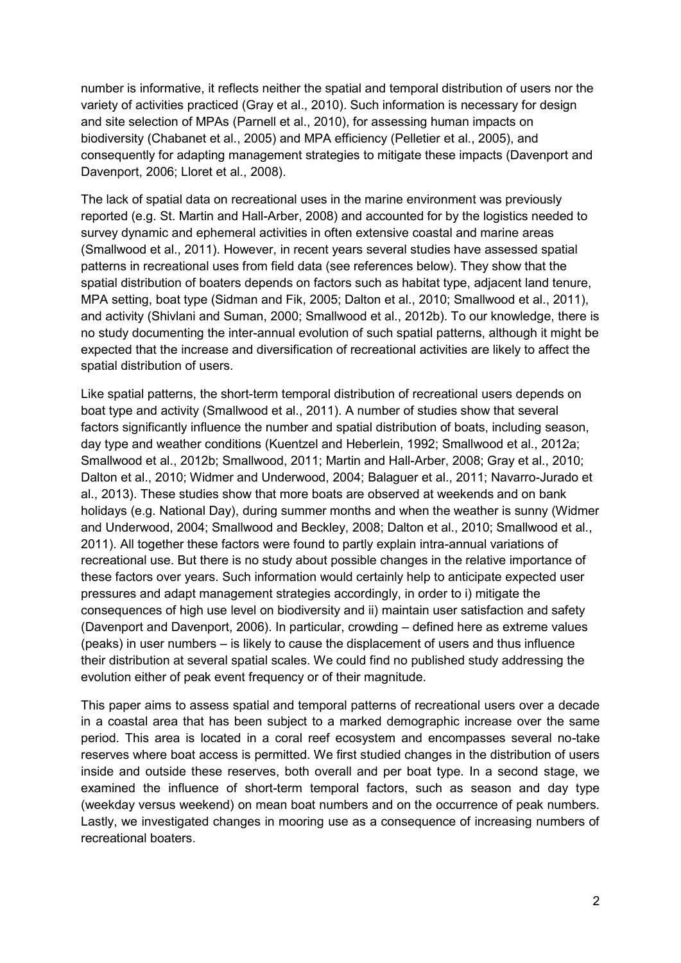number is informative, it reflects neither the spatial and temporal distribution of users nor the variety of activities practiced (Gray et al., 2010). Such information is necessary for design and site selection of MPAs (Parnell et al., 2010), for assessing human impacts on biodiversity (Chabanet et al., 2005) and MPA efficiency (Pelletier et al., 2005), and consequently for adapting management strategies to mitigate these impacts (Davenport and Davenport, 2006; Lloret et al., 2008).

The lack of spatial data on recreational uses in the marine environment was previously reported (e.g. St. Martin and Hall-Arber, 2008) and accounted for by the logistics needed to survey dynamic and ephemeral activities in often extensive coastal and marine areas (Smallwood et al., 2011). However, in recent years several studies have assessed spatial patterns in recreational uses from field data (see references below). They show that the spatial distribution of boaters depends on factors such as habitat type, adjacent land tenure, MPA setting, boat type (Sidman and Fik, 2005; Dalton et al., 2010; Smallwood et al., 2011), and activity (Shivlani and Suman, 2000; Smallwood et al., 2012b). To our knowledge, there is no study documenting the inter-annual evolution of such spatial patterns, although it might be expected that the increase and diversification of recreational activities are likely to affect the spatial distribution of users.

Like spatial patterns, the short-term temporal distribution of recreational users depends on boat type and activity (Smallwood et al., 2011). A number of studies show that several factors significantly influence the number and spatial distribution of boats, including season, day type and weather conditions (Kuentzel and Heberlein, 1992; Smallwood et al., 2012a; Smallwood et al., 2012b; Smallwood, 2011; Martin and Hall-Arber, 2008; Gray et al., 2010; Dalton et al., 2010; Widmer and Underwood, 2004; Balaguer et al., 2011; Navarro-Jurado et al., 2013). These studies show that more boats are observed at weekends and on bank holidays (e.g. National Day), during summer months and when the weather is sunny (Widmer and Underwood, 2004; Smallwood and Beckley, 2008; Dalton et al., 2010; Smallwood et al., 2011). All together these factors were found to partly explain intra-annual variations of recreational use. But there is no study about possible changes in the relative importance of these factors over years. Such information would certainly help to anticipate expected user pressures and adapt management strategies accordingly, in order to i) mitigate the consequences of high use level on biodiversity and ii) maintain user satisfaction and safety (Davenport and Davenport, 2006). In particular, crowding – defined here as extreme values (peaks) in user numbers – is likely to cause the displacement of users and thus influence their distribution at several spatial scales. We could find no published study addressing the evolution either of peak event frequency or of their magnitude.

This paper aims to assess spatial and temporal patterns of recreational users over a decade in a coastal area that has been subject to a marked demographic increase over the same period. This area is located in a coral reef ecosystem and encompasses several no-take reserves where boat access is permitted. We first studied changes in the distribution of users inside and outside these reserves, both overall and per boat type. In a second stage, we examined the influence of short-term temporal factors, such as season and day type (weekday versus weekend) on mean boat numbers and on the occurrence of peak numbers. Lastly, we investigated changes in mooring use as a consequence of increasing numbers of recreational boaters.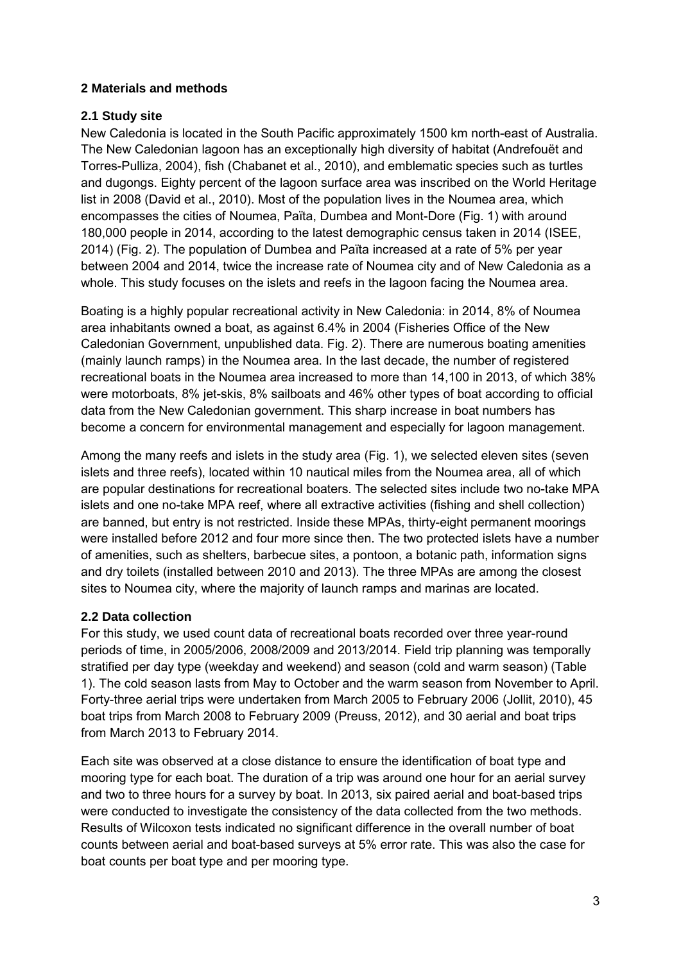### **2 Materials and methods**

### **2.1 Study site**

New Caledonia is located in the South Pacific approximately 1500 km north-east of Australia. The New Caledonian lagoon has an exceptionally high diversity of habitat (Andrefouët and Torres-Pulliza, 2004), fish (Chabanet et al., 2010), and emblematic species such as turtles and dugongs. Eighty percent of the lagoon surface area was inscribed on the World Heritage list in 2008 (David et al., 2010). Most of the population lives in the Noumea area, which encompasses the cities of Noumea, Païta, Dumbea and Mont-Dore (Fig. 1) with around 180,000 people in 2014, according to the latest demographic census taken in 2014 (ISEE, 2014) (Fig. 2). The population of Dumbea and Païta increased at a rate of 5% per year between 2004 and 2014, twice the increase rate of Noumea city and of New Caledonia as a whole. This study focuses on the islets and reefs in the lagoon facing the Noumea area.

Boating is a highly popular recreational activity in New Caledonia: in 2014, 8% of Noumea area inhabitants owned a boat, as against 6.4% in 2004 (Fisheries Office of the New Caledonian Government, unpublished data. Fig. 2). There are numerous boating amenities (mainly launch ramps) in the Noumea area. In the last decade, the number of registered recreational boats in the Noumea area increased to more than 14,100 in 2013, of which 38% were motorboats, 8% jet-skis, 8% sailboats and 46% other types of boat according to official data from the New Caledonian government. This sharp increase in boat numbers has become a concern for environmental management and especially for lagoon management.

Among the many reefs and islets in the study area (Fig. 1), we selected eleven sites (seven islets and three reefs), located within 10 nautical miles from the Noumea area, all of which are popular destinations for recreational boaters. The selected sites include two no-take MPA islets and one no-take MPA reef, where all extractive activities (fishing and shell collection) are banned, but entry is not restricted. Inside these MPAs, thirty-eight permanent moorings were installed before 2012 and four more since then. The two protected islets have a number of amenities, such as shelters, barbecue sites, a pontoon, a botanic path, information signs and dry toilets (installed between 2010 and 2013). The three MPAs are among the closest sites to Noumea city, where the majority of launch ramps and marinas are located.

## **2.2 Data collection**

For this study, we used count data of recreational boats recorded over three year-round periods of time, in 2005/2006, 2008/2009 and 2013/2014. Field trip planning was temporally stratified per day type (weekday and weekend) and season (cold and warm season) (Table 1). The cold season lasts from May to October and the warm season from November to April. Forty-three aerial trips were undertaken from March 2005 to February 2006 (Jollit, 2010), 45 boat trips from March 2008 to February 2009 (Preuss, 2012), and 30 aerial and boat trips from March 2013 to February 2014.

Each site was observed at a close distance to ensure the identification of boat type and mooring type for each boat. The duration of a trip was around one hour for an aerial survey and two to three hours for a survey by boat. In 2013, six paired aerial and boat-based trips were conducted to investigate the consistency of the data collected from the two methods. Results of Wilcoxon tests indicated no significant difference in the overall number of boat counts between aerial and boat-based surveys at 5% error rate. This was also the case for boat counts per boat type and per mooring type.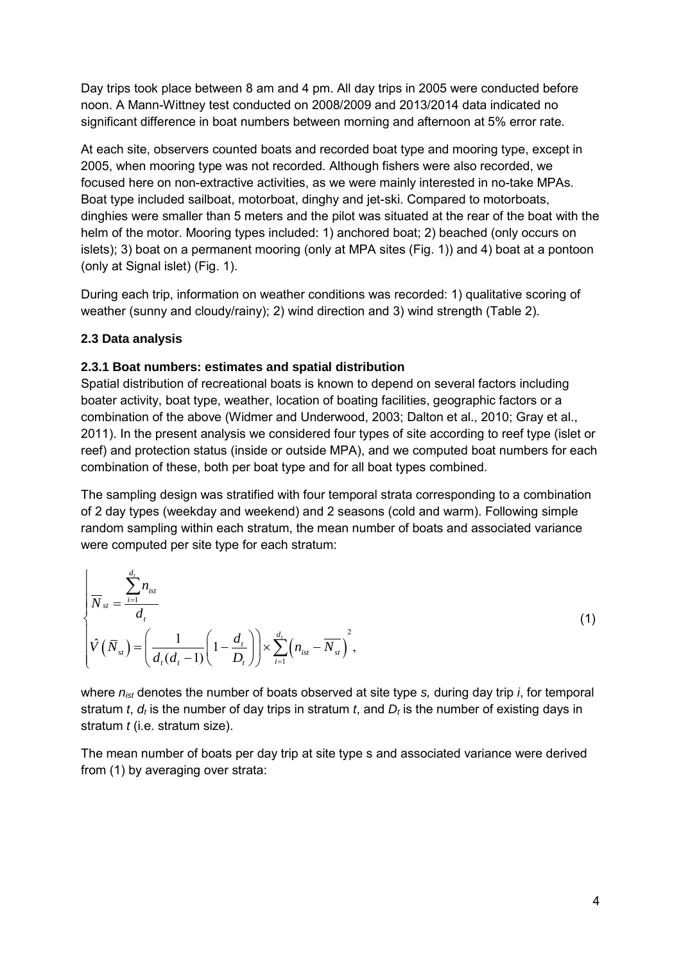Day trips took place between 8 am and 4 pm. All day trips in 2005 were conducted before noon. A Mann-Wittney test conducted on 2008/2009 and 2013/2014 data indicated no significant difference in boat numbers between morning and afternoon at 5% error rate.

At each site, observers counted boats and recorded boat type and mooring type, except in 2005, when mooring type was not recorded. Although fishers were also recorded, we focused here on non-extractive activities, as we were mainly interested in no-take MPAs. Boat type included sailboat, motorboat, dinghy and jet-ski. Compared to motorboats, dinghies were smaller than 5 meters and the pilot was situated at the rear of the boat with the helm of the motor. Mooring types included: 1) anchored boat; 2) beached (only occurs on islets); 3) boat on a permanent mooring (only at MPA sites (Fig. 1)) and 4) boat at a pontoon (only at Signal islet) (Fig. 1).

During each trip, information on weather conditions was recorded: 1) qualitative scoring of weather (sunny and cloudy/rainy); 2) wind direction and 3) wind strength (Table 2).

## **2.3 Data analysis**

### **2.3.1 Boat numbers: estimates and spatial distribution**

Spatial distribution of recreational boats is known to depend on several factors including boater activity, boat type, weather, location of boating facilities, geographic factors or a combination of the above (Widmer and Underwood, 2003; Dalton et al., 2010; Gray et al., 2011). In the present analysis we considered four types of site according to reef type (islet or reef) and protection status (inside or outside MPA), and we computed boat numbers for each combination of these, both per boat type and for all boat types combined.

The sampling design was stratified with four temporal strata corresponding to a combination of 2 day types (weekday and weekend) and 2 seasons (cold and warm). Following simple random sampling within each stratum, the mean number of boats and associated variance were computed per site type for each stratum:

$$
\begin{cases}\n\overline{N}_{st} = \frac{\sum_{i=1}^{d_t} n_{ist}}{d_t} \\
\hat{V}(\overline{N}_{st}) = \left(\frac{1}{d_t(d_t - 1)} \left(1 - \frac{d_t}{D_t}\right)\right) \times \sum_{i=1}^{d_t} \left(n_{ist} - \overline{N}_{st}\right)^2,\n\end{cases} (1)
$$

where *nist* denotes the number of boats observed at site type *s,* during day trip *i*, for temporal stratum *t*,  $d_t$  is the number of day trips in stratum *t*, and  $D_t$  is the number of existing days in stratum *t* (i.e. stratum size).

The mean number of boats per day trip at site type s and associated variance were derived from (1) by averaging over strata: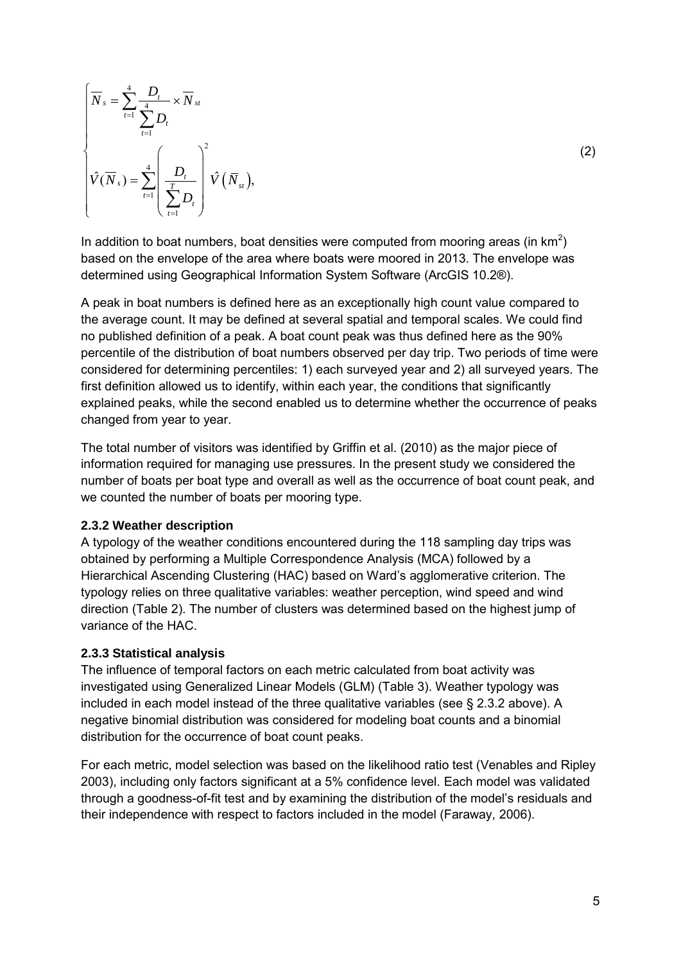$$
\overline{N}_{s} = \sum_{t=1}^{4} \frac{D_{t}}{\sum_{t=1}^{4} D_{t}} \times \overline{N}_{st}
$$

$$
\hat{V}(\overline{N}_{s}) = \sum_{t=1}^{4} \left(\frac{D_{t}}{\sum_{t=1}^{T} D_{t}}\right)^{2} \hat{V}(\overline{N}_{st}),
$$

In addition to boat numbers, boat densities were computed from mooring areas (in  $km^2$ ) based on the envelope of the area where boats were moored in 2013. The envelope was determined using Geographical Information System Software (ArcGIS 10.2®).

A peak in boat numbers is defined here as an exceptionally high count value compared to the average count. It may be defined at several spatial and temporal scales. We could find no published definition of a peak. A boat count peak was thus defined here as the 90% percentile of the distribution of boat numbers observed per day trip. Two periods of time were considered for determining percentiles: 1) each surveyed year and 2) all surveyed years. The first definition allowed us to identify, within each year, the conditions that significantly explained peaks, while the second enabled us to determine whether the occurrence of peaks changed from year to year.

The total number of visitors was identified by Griffin et al. (2010) as the major piece of information required for managing use pressures. In the present study we considered the number of boats per boat type and overall as well as the occurrence of boat count peak, and we counted the number of boats per mooring type.

#### **2.3.2 Weather description**

A typology of the weather conditions encountered during the 118 sampling day trips was obtained by performing a Multiple Correspondence Analysis (MCA) followed by a Hierarchical Ascending Clustering (HAC) based on Ward's agglomerative criterion. The typology relies on three qualitative variables: weather perception, wind speed and wind direction (Table 2). The number of clusters was determined based on the highest jump of variance of the HAC.

#### **2.3.3 Statistical analysis**

The influence of temporal factors on each metric calculated from boat activity was investigated using Generalized Linear Models (GLM) (Table 3). Weather typology was included in each model instead of the three qualitative variables (see § 2.3.2 above). A negative binomial distribution was considered for modeling boat counts and a binomial distribution for the occurrence of boat count peaks.

For each metric, model selection was based on the likelihood ratio test (Venables and Ripley 2003), including only factors significant at a 5% confidence level. Each model was validated through a goodness-of-fit test and by examining the distribution of the model's residuals and their independence with respect to factors included in the model (Faraway, 2006).

(2)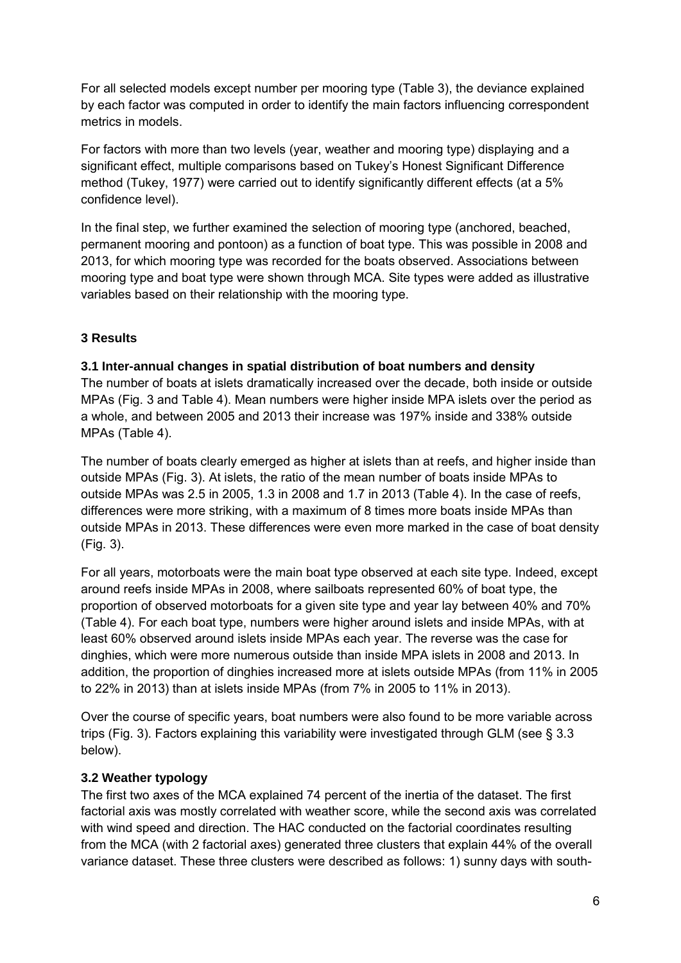For all selected models except number per mooring type (Table 3), the deviance explained by each factor was computed in order to identify the main factors influencing correspondent metrics in models.

For factors with more than two levels (year, weather and mooring type) displaying and a significant effect, multiple comparisons based on Tukey's Honest Significant Difference method (Tukey, 1977) were carried out to identify significantly different effects (at a 5% confidence level).

In the final step, we further examined the selection of mooring type (anchored, beached, permanent mooring and pontoon) as a function of boat type. This was possible in 2008 and 2013, for which mooring type was recorded for the boats observed. Associations between mooring type and boat type were shown through MCA. Site types were added as illustrative variables based on their relationship with the mooring type.

## **3 Results**

### **3.1 Inter-annual changes in spatial distribution of boat numbers and density**

The number of boats at islets dramatically increased over the decade, both inside or outside MPAs (Fig. 3 and Table 4). Mean numbers were higher inside MPA islets over the period as a whole, and between 2005 and 2013 their increase was 197% inside and 338% outside MPAs (Table 4).

The number of boats clearly emerged as higher at islets than at reefs, and higher inside than outside MPAs (Fig. 3). At islets, the ratio of the mean number of boats inside MPAs to outside MPAs was 2.5 in 2005, 1.3 in 2008 and 1.7 in 2013 (Table 4). In the case of reefs, differences were more striking, with a maximum of 8 times more boats inside MPAs than outside MPAs in 2013. These differences were even more marked in the case of boat density (Fig. 3).

For all years, motorboats were the main boat type observed at each site type. Indeed, except around reefs inside MPAs in 2008, where sailboats represented 60% of boat type, the proportion of observed motorboats for a given site type and year lay between 40% and 70% (Table 4). For each boat type, numbers were higher around islets and inside MPAs, with at least 60% observed around islets inside MPAs each year. The reverse was the case for dinghies, which were more numerous outside than inside MPA islets in 2008 and 2013. In addition, the proportion of dinghies increased more at islets outside MPAs (from 11% in 2005 to 22% in 2013) than at islets inside MPAs (from 7% in 2005 to 11% in 2013).

Over the course of specific years, boat numbers were also found to be more variable across trips (Fig. 3). Factors explaining this variability were investigated through GLM (see § 3.3 below).

### **3.2 Weather typology**

The first two axes of the MCA explained 74 percent of the inertia of the dataset. The first factorial axis was mostly correlated with weather score, while the second axis was correlated with wind speed and direction. The HAC conducted on the factorial coordinates resulting from the MCA (with 2 factorial axes) generated three clusters that explain 44% of the overall variance dataset. These three clusters were described as follows: 1) sunny days with south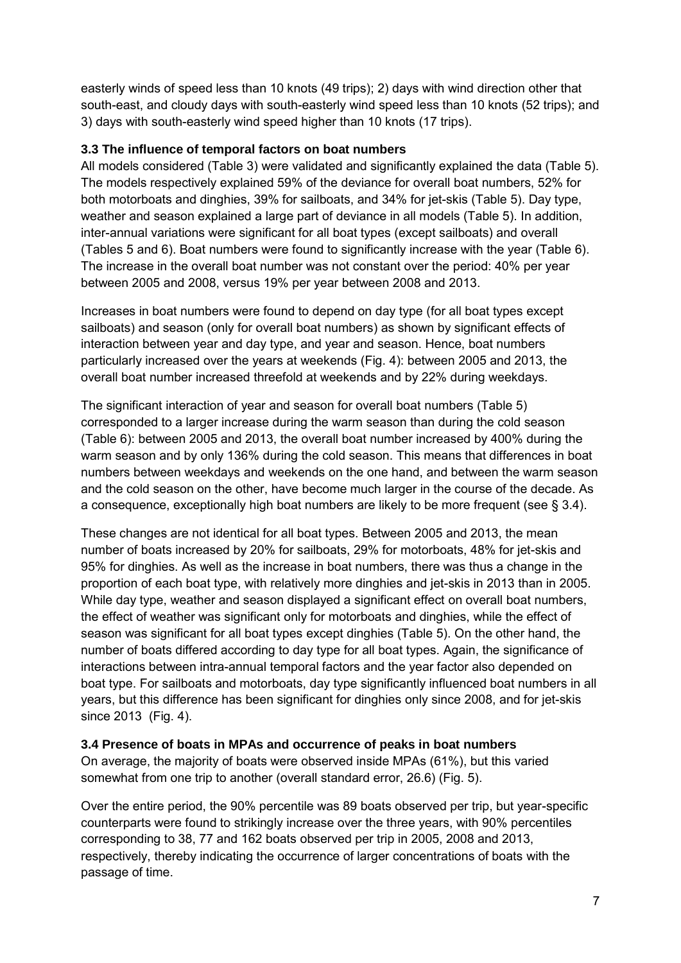easterly winds of speed less than 10 knots (49 trips); 2) days with wind direction other that south-east, and cloudy days with south-easterly wind speed less than 10 knots (52 trips); and 3) days with south-easterly wind speed higher than 10 knots (17 trips).

### **3.3 The influence of temporal factors on boat numbers**

All models considered (Table 3) were validated and significantly explained the data (Table 5). The models respectively explained 59% of the deviance for overall boat numbers, 52% for both motorboats and dinghies, 39% for sailboats, and 34% for jet-skis (Table 5). Day type, weather and season explained a large part of deviance in all models (Table 5). In addition, inter-annual variations were significant for all boat types (except sailboats) and overall (Tables 5 and 6). Boat numbers were found to significantly increase with the year (Table 6). The increase in the overall boat number was not constant over the period: 40% per year between 2005 and 2008, versus 19% per year between 2008 and 2013.

Increases in boat numbers were found to depend on day type (for all boat types except sailboats) and season (only for overall boat numbers) as shown by significant effects of interaction between year and day type, and year and season. Hence, boat numbers particularly increased over the years at weekends (Fig. 4): between 2005 and 2013, the overall boat number increased threefold at weekends and by 22% during weekdays.

The significant interaction of year and season for overall boat numbers (Table 5) corresponded to a larger increase during the warm season than during the cold season (Table 6): between 2005 and 2013, the overall boat number increased by 400% during the warm season and by only 136% during the cold season. This means that differences in boat numbers between weekdays and weekends on the one hand, and between the warm season and the cold season on the other, have become much larger in the course of the decade. As a consequence, exceptionally high boat numbers are likely to be more frequent (see § 3.4).

These changes are not identical for all boat types. Between 2005 and 2013, the mean number of boats increased by 20% for sailboats, 29% for motorboats, 48% for jet-skis and 95% for dinghies. As well as the increase in boat numbers, there was thus a change in the proportion of each boat type, with relatively more dinghies and jet-skis in 2013 than in 2005. While day type, weather and season displayed a significant effect on overall boat numbers, the effect of weather was significant only for motorboats and dinghies, while the effect of season was significant for all boat types except dinghies (Table 5). On the other hand, the number of boats differed according to day type for all boat types. Again, the significance of interactions between intra-annual temporal factors and the year factor also depended on boat type. For sailboats and motorboats, day type significantly influenced boat numbers in all years, but this difference has been significant for dinghies only since 2008, and for jet-skis since 2013 (Fig. 4).

### **3.4 Presence of boats in MPAs and occurrence of peaks in boat numbers**

On average, the majority of boats were observed inside MPAs (61%), but this varied somewhat from one trip to another (overall standard error, 26.6) (Fig. 5).

Over the entire period, the 90% percentile was 89 boats observed per trip, but year-specific counterparts were found to strikingly increase over the three years, with 90% percentiles corresponding to 38, 77 and 162 boats observed per trip in 2005, 2008 and 2013, respectively, thereby indicating the occurrence of larger concentrations of boats with the passage of time.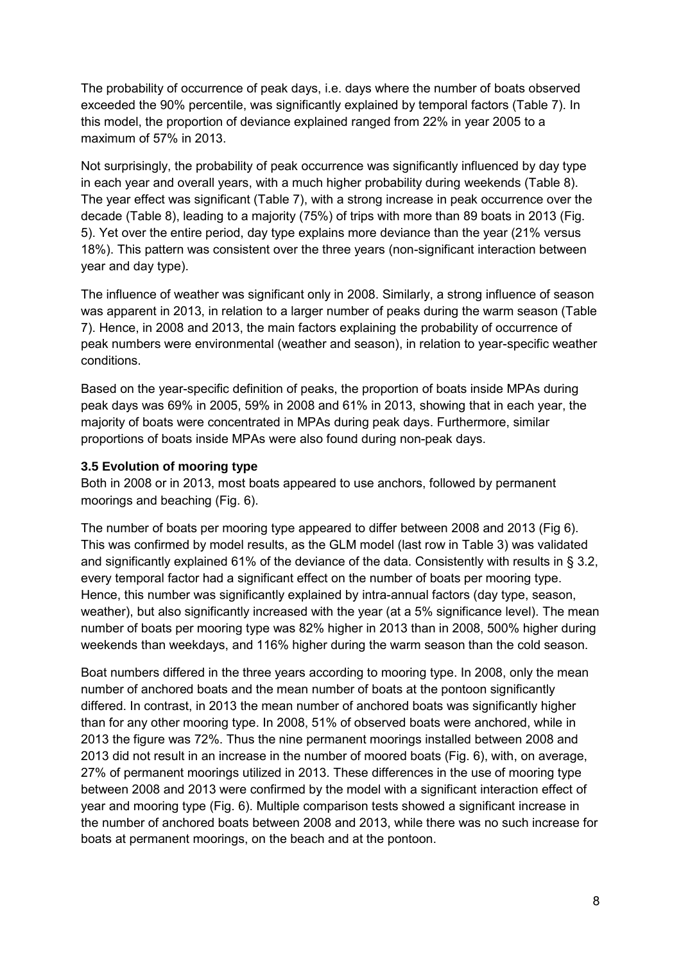The probability of occurrence of peak days, i.e. days where the number of boats observed exceeded the 90% percentile, was significantly explained by temporal factors (Table 7). In this model, the proportion of deviance explained ranged from 22% in year 2005 to a maximum of 57% in 2013.

Not surprisingly, the probability of peak occurrence was significantly influenced by day type in each year and overall years, with a much higher probability during weekends (Table 8). The year effect was significant (Table 7), with a strong increase in peak occurrence over the decade (Table 8), leading to a majority (75%) of trips with more than 89 boats in 2013 (Fig. 5). Yet over the entire period, day type explains more deviance than the year (21% versus 18%). This pattern was consistent over the three years (non-significant interaction between year and day type).

The influence of weather was significant only in 2008. Similarly, a strong influence of season was apparent in 2013, in relation to a larger number of peaks during the warm season (Table 7). Hence, in 2008 and 2013, the main factors explaining the probability of occurrence of peak numbers were environmental (weather and season), in relation to year-specific weather conditions.

Based on the year-specific definition of peaks, the proportion of boats inside MPAs during peak days was 69% in 2005, 59% in 2008 and 61% in 2013, showing that in each year, the majority of boats were concentrated in MPAs during peak days. Furthermore, similar proportions of boats inside MPAs were also found during non-peak days.

### **3.5 Evolution of mooring type**

Both in 2008 or in 2013, most boats appeared to use anchors, followed by permanent moorings and beaching (Fig. 6).

The number of boats per mooring type appeared to differ between 2008 and 2013 (Fig 6). This was confirmed by model results, as the GLM model (last row in Table 3) was validated and significantly explained 61% of the deviance of the data. Consistently with results in § 3.2, every temporal factor had a significant effect on the number of boats per mooring type. Hence, this number was significantly explained by intra-annual factors (day type, season, weather), but also significantly increased with the year (at a 5% significance level). The mean number of boats per mooring type was 82% higher in 2013 than in 2008, 500% higher during weekends than weekdays, and 116% higher during the warm season than the cold season.

Boat numbers differed in the three years according to mooring type. In 2008, only the mean number of anchored boats and the mean number of boats at the pontoon significantly differed. In contrast, in 2013 the mean number of anchored boats was significantly higher than for any other mooring type. In 2008, 51% of observed boats were anchored, while in 2013 the figure was 72%. Thus the nine permanent moorings installed between 2008 and 2013 did not result in an increase in the number of moored boats (Fig. 6), with, on average, 27% of permanent moorings utilized in 2013. These differences in the use of mooring type between 2008 and 2013 were confirmed by the model with a significant interaction effect of year and mooring type (Fig. 6). Multiple comparison tests showed a significant increase in the number of anchored boats between 2008 and 2013, while there was no such increase for boats at permanent moorings, on the beach and at the pontoon.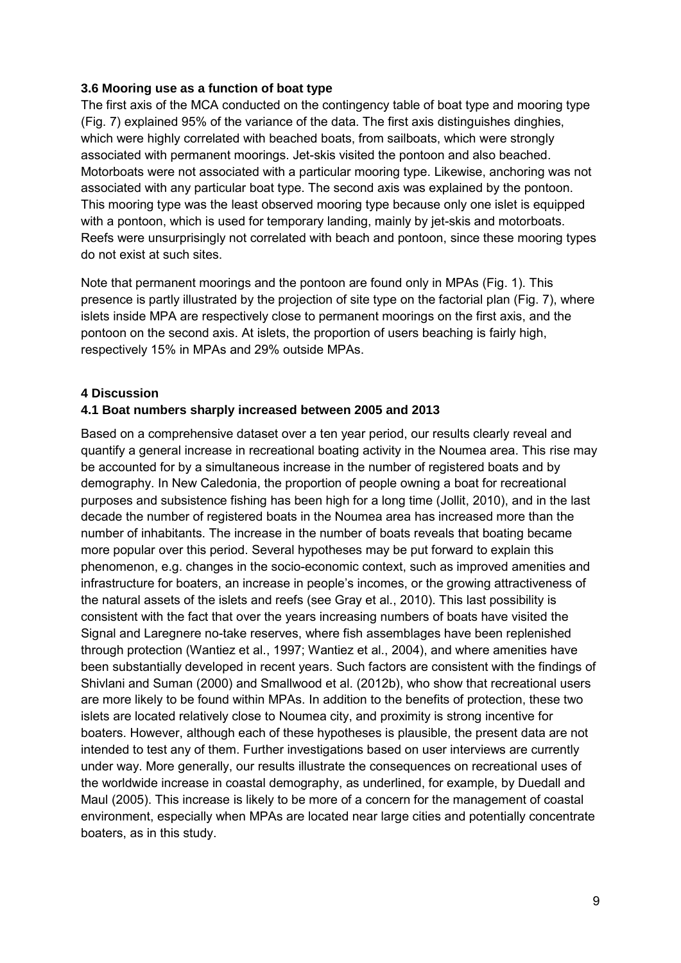#### **3.6 Mooring use as a function of boat type**

The first axis of the MCA conducted on the contingency table of boat type and mooring type (Fig. 7) explained 95% of the variance of the data. The first axis distinguishes dinghies, which were highly correlated with beached boats, from sailboats, which were strongly associated with permanent moorings. Jet-skis visited the pontoon and also beached. Motorboats were not associated with a particular mooring type. Likewise, anchoring was not associated with any particular boat type. The second axis was explained by the pontoon. This mooring type was the least observed mooring type because only one islet is equipped with a pontoon, which is used for temporary landing, mainly by jet-skis and motorboats. Reefs were unsurprisingly not correlated with beach and pontoon, since these mooring types do not exist at such sites.

Note that permanent moorings and the pontoon are found only in MPAs (Fig. 1). This presence is partly illustrated by the projection of site type on the factorial plan (Fig. 7), where islets inside MPA are respectively close to permanent moorings on the first axis, and the pontoon on the second axis. At islets, the proportion of users beaching is fairly high, respectively 15% in MPAs and 29% outside MPAs.

### **4 Discussion**

#### **4.1 Boat numbers sharply increased between 2005 and 2013**

Based on a comprehensive dataset over a ten year period, our results clearly reveal and quantify a general increase in recreational boating activity in the Noumea area. This rise may be accounted for by a simultaneous increase in the number of registered boats and by demography. In New Caledonia, the proportion of people owning a boat for recreational purposes and subsistence fishing has been high for a long time (Jollit, 2010), and in the last decade the number of registered boats in the Noumea area has increased more than the number of inhabitants. The increase in the number of boats reveals that boating became more popular over this period. Several hypotheses may be put forward to explain this phenomenon, e.g. changes in the socio-economic context, such as improved amenities and infrastructure for boaters, an increase in people's incomes, or the growing attractiveness of the natural assets of the islets and reefs (see Gray et al., 2010). This last possibility is consistent with the fact that over the years increasing numbers of boats have visited the Signal and Laregnere no-take reserves, where fish assemblages have been replenished through protection (Wantiez et al., 1997; Wantiez et al., 2004), and where amenities have been substantially developed in recent years. Such factors are consistent with the findings of Shivlani and Suman (2000) and Smallwood et al. (2012b), who show that recreational users are more likely to be found within MPAs. In addition to the benefits of protection, these two islets are located relatively close to Noumea city, and proximity is strong incentive for boaters. However, although each of these hypotheses is plausible, the present data are not intended to test any of them. Further investigations based on user interviews are currently under way. More generally, our results illustrate the consequences on recreational uses of the worldwide increase in coastal demography, as underlined, for example, by Duedall and Maul (2005). This increase is likely to be more of a concern for the management of coastal environment, especially when MPAs are located near large cities and potentially concentrate boaters, as in this study.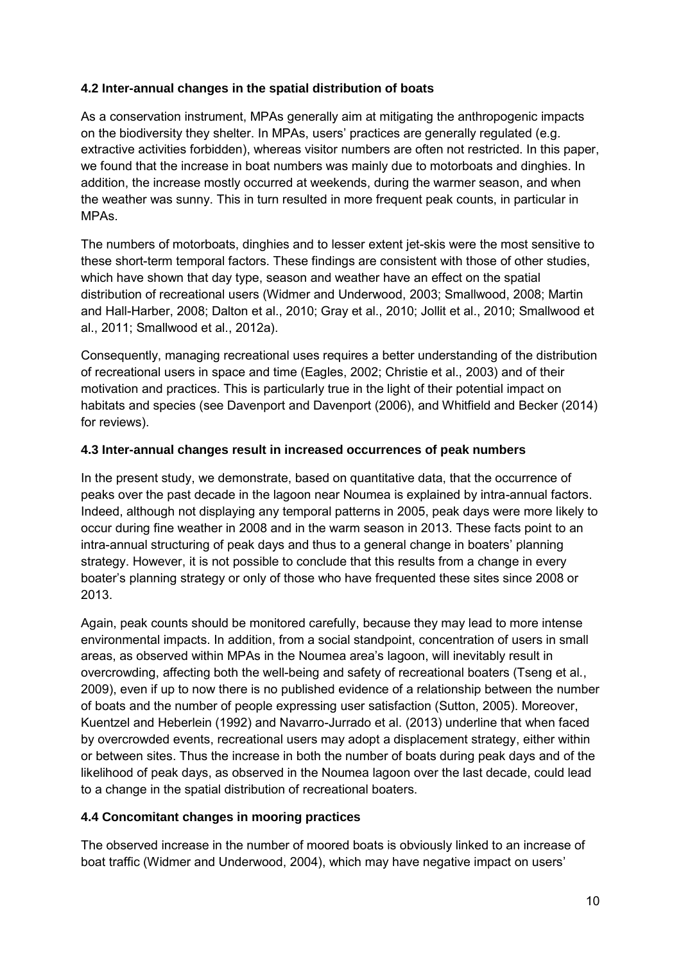### **4.2 Inter-annual changes in the spatial distribution of boats**

As a conservation instrument, MPAs generally aim at mitigating the anthropogenic impacts on the biodiversity they shelter. In MPAs, users' practices are generally regulated (e.g. extractive activities forbidden), whereas visitor numbers are often not restricted. In this paper, we found that the increase in boat numbers was mainly due to motorboats and dinghies. In addition, the increase mostly occurred at weekends, during the warmer season, and when the weather was sunny. This in turn resulted in more frequent peak counts, in particular in MPAs.

The numbers of motorboats, dinghies and to lesser extent jet-skis were the most sensitive to these short-term temporal factors. These findings are consistent with those of other studies, which have shown that day type, season and weather have an effect on the spatial distribution of recreational users (Widmer and Underwood, 2003; Smallwood, 2008; Martin and Hall-Harber, 2008; Dalton et al., 2010; Gray et al., 2010; Jollit et al., 2010; Smallwood et al., 2011; Smallwood et al., 2012a).

Consequently, managing recreational uses requires a better understanding of the distribution of recreational users in space and time (Eagles, 2002; Christie et al., 2003) and of their motivation and practices. This is particularly true in the light of their potential impact on habitats and species (see Davenport and Davenport (2006), and Whitfield and Becker (2014) for reviews).

## **4.3 Inter-annual changes result in increased occurrences of peak numbers**

In the present study, we demonstrate, based on quantitative data, that the occurrence of peaks over the past decade in the lagoon near Noumea is explained by intra-annual factors. Indeed, although not displaying any temporal patterns in 2005, peak days were more likely to occur during fine weather in 2008 and in the warm season in 2013. These facts point to an intra-annual structuring of peak days and thus to a general change in boaters' planning strategy. However, it is not possible to conclude that this results from a change in every boater's planning strategy or only of those who have frequented these sites since 2008 or 2013.

Again, peak counts should be monitored carefully, because they may lead to more intense environmental impacts. In addition, from a social standpoint, concentration of users in small areas, as observed within MPAs in the Noumea area's lagoon, will inevitably result in overcrowding, affecting both the well-being and safety of recreational boaters (Tseng et al., 2009), even if up to now there is no published evidence of a relationship between the number of boats and the number of people expressing user satisfaction (Sutton, 2005). Moreover, Kuentzel and Heberlein (1992) and Navarro-Jurrado et al. (2013) underline that when faced by overcrowded events, recreational users may adopt a displacement strategy, either within or between sites. Thus the increase in both the number of boats during peak days and of the likelihood of peak days, as observed in the Noumea lagoon over the last decade, could lead to a change in the spatial distribution of recreational boaters.

### **4.4 Concomitant changes in mooring practices**

The observed increase in the number of moored boats is obviously linked to an increase of boat traffic (Widmer and Underwood, 2004), which may have negative impact on users'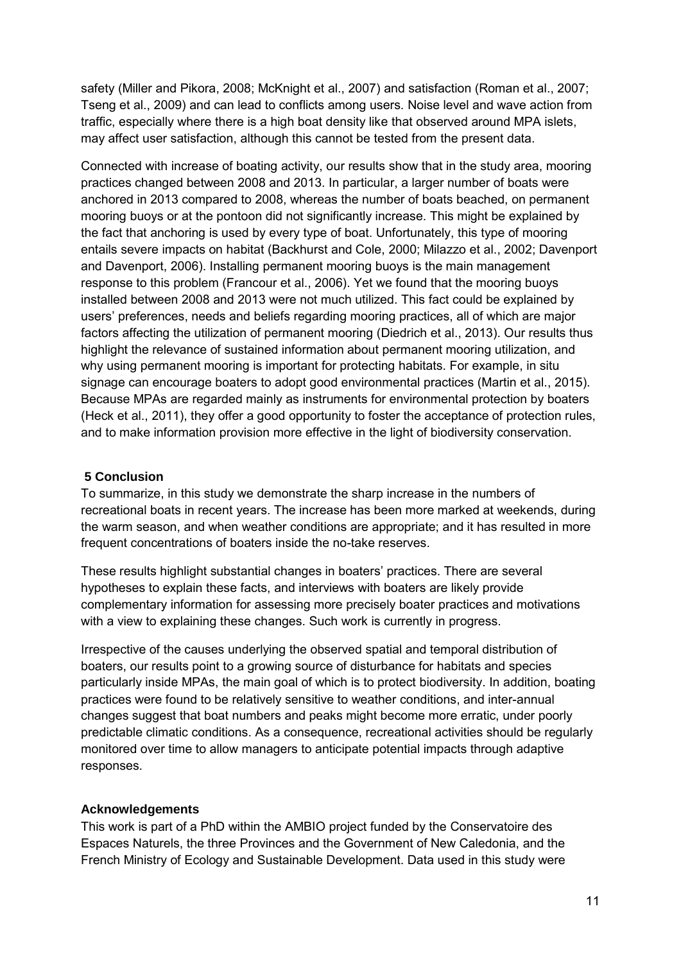safety (Miller and Pikora, 2008; McKnight et al., 2007) and satisfaction (Roman et al., 2007; Tseng et al., 2009) and can lead to conflicts among users. Noise level and wave action from traffic, especially where there is a high boat density like that observed around MPA islets, may affect user satisfaction, although this cannot be tested from the present data.

Connected with increase of boating activity, our results show that in the study area, mooring practices changed between 2008 and 2013. In particular, a larger number of boats were anchored in 2013 compared to 2008, whereas the number of boats beached, on permanent mooring buoys or at the pontoon did not significantly increase. This might be explained by the fact that anchoring is used by every type of boat. Unfortunately, this type of mooring entails severe impacts on habitat (Backhurst and Cole, 2000; Milazzo et al., 2002; Davenport and Davenport, 2006). Installing permanent mooring buoys is the main management response to this problem (Francour et al., 2006). Yet we found that the mooring buoys installed between 2008 and 2013 were not much utilized. This fact could be explained by users' preferences, needs and beliefs regarding mooring practices, all of which are major factors affecting the utilization of permanent mooring (Diedrich et al., 2013). Our results thus highlight the relevance of sustained information about permanent mooring utilization, and why using permanent mooring is important for protecting habitats. For example, in situ signage can encourage boaters to adopt good environmental practices (Martin et al., 2015). Because MPAs are regarded mainly as instruments for environmental protection by boaters (Heck et al., 2011), they offer a good opportunity to foster the acceptance of protection rules, and to make information provision more effective in the light of biodiversity conservation.

### **5 Conclusion**

To summarize, in this study we demonstrate the sharp increase in the numbers of recreational boats in recent years. The increase has been more marked at weekends, during the warm season, and when weather conditions are appropriate; and it has resulted in more frequent concentrations of boaters inside the no-take reserves.

These results highlight substantial changes in boaters' practices. There are several hypotheses to explain these facts, and interviews with boaters are likely provide complementary information for assessing more precisely boater practices and motivations with a view to explaining these changes. Such work is currently in progress.

Irrespective of the causes underlying the observed spatial and temporal distribution of boaters, our results point to a growing source of disturbance for habitats and species particularly inside MPAs, the main goal of which is to protect biodiversity. In addition, boating practices were found to be relatively sensitive to weather conditions, and inter-annual changes suggest that boat numbers and peaks might become more erratic, under poorly predictable climatic conditions. As a consequence, recreational activities should be regularly monitored over time to allow managers to anticipate potential impacts through adaptive responses.

#### **Acknowledgements**

This work is part of a PhD within the AMBIO project funded by the Conservatoire des Espaces Naturels, the three Provinces and the Government of New Caledonia, and the French Ministry of Ecology and Sustainable Development. Data used in this study were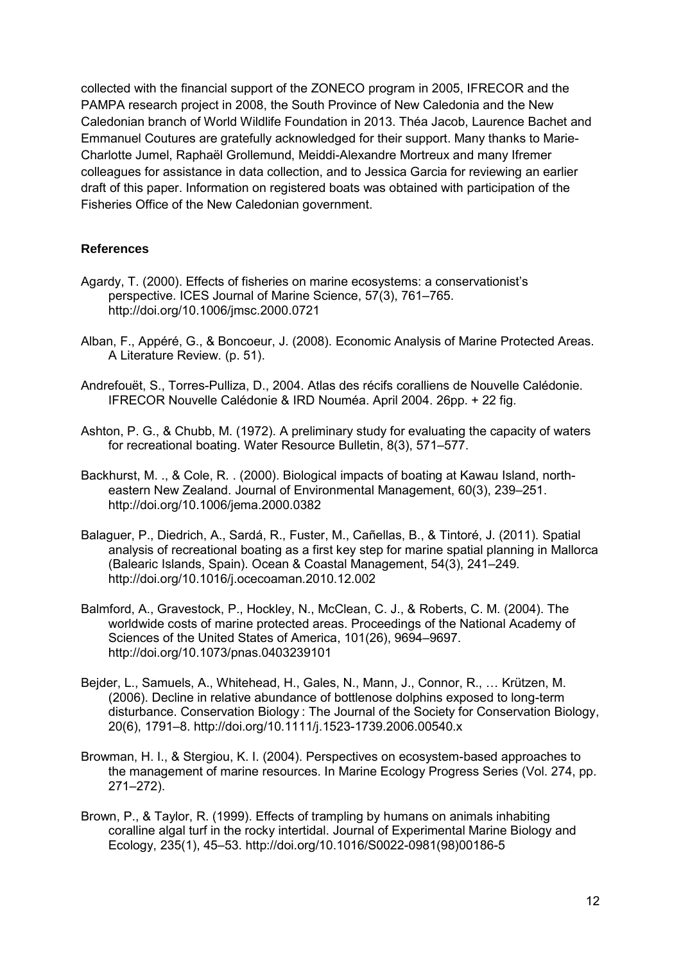collected with the financial support of the ZONECO program in 2005, IFRECOR and the PAMPA research project in 2008, the South Province of New Caledonia and the New Caledonian branch of World Wildlife Foundation in 2013. Théa Jacob, Laurence Bachet and Emmanuel Coutures are gratefully acknowledged for their support. Many thanks to Marie-Charlotte Jumel, Raphaël Grollemund, Meiddi-Alexandre Mortreux and many Ifremer colleagues for assistance in data collection, and to Jessica Garcia for reviewing an earlier draft of this paper. Information on registered boats was obtained with participation of the Fisheries Office of the New Caledonian government.

### **References**

- Agardy, T. (2000). Effects of fisheries on marine ecosystems: a conservationist's perspective. ICES Journal of Marine Science, 57(3), 761–765. http://doi.org/10.1006/jmsc.2000.0721
- Alban, F., Appéré, G., & Boncoeur, J. (2008). Economic Analysis of Marine Protected Areas. A Literature Review. (p. 51).
- Andrefouët, S., Torres-Pulliza, D., 2004. Atlas des récifs coralliens de Nouvelle Calédonie. IFRECOR Nouvelle Calédonie & IRD Nouméa. April 2004. 26pp. + 22 fig.
- Ashton, P. G., & Chubb, M. (1972). A preliminary study for evaluating the capacity of waters for recreational boating. Water Resource Bulletin, 8(3), 571–577.
- Backhurst, M. ., & Cole, R. . (2000). Biological impacts of boating at Kawau Island, northeastern New Zealand. Journal of Environmental Management, 60(3), 239–251. http://doi.org/10.1006/jema.2000.0382
- Balaguer, P., Diedrich, A., Sardá, R., Fuster, M., Cañellas, B., & Tintoré, J. (2011). Spatial analysis of recreational boating as a first key step for marine spatial planning in Mallorca (Balearic Islands, Spain). Ocean & Coastal Management, 54(3), 241–249. http://doi.org/10.1016/j.ocecoaman.2010.12.002
- Balmford, A., Gravestock, P., Hockley, N., McClean, C. J., & Roberts, C. M. (2004). The worldwide costs of marine protected areas. Proceedings of the National Academy of Sciences of the United States of America, 101(26), 9694–9697. http://doi.org/10.1073/pnas.0403239101
- Bejder, L., Samuels, A., Whitehead, H., Gales, N., Mann, J., Connor, R., … Krützen, M. (2006). Decline in relative abundance of bottlenose dolphins exposed to long-term disturbance. Conservation Biology : The Journal of the Society for Conservation Biology, 20(6), 1791–8. http://doi.org/10.1111/j.1523-1739.2006.00540.x
- Browman, H. I., & Stergiou, K. I. (2004). Perspectives on ecosystem-based approaches to the management of marine resources. In Marine Ecology Progress Series (Vol. 274, pp. 271–272).
- Brown, P., & Taylor, R. (1999). Effects of trampling by humans on animals inhabiting coralline algal turf in the rocky intertidal. Journal of Experimental Marine Biology and Ecology, 235(1), 45–53. http://doi.org/10.1016/S0022-0981(98)00186-5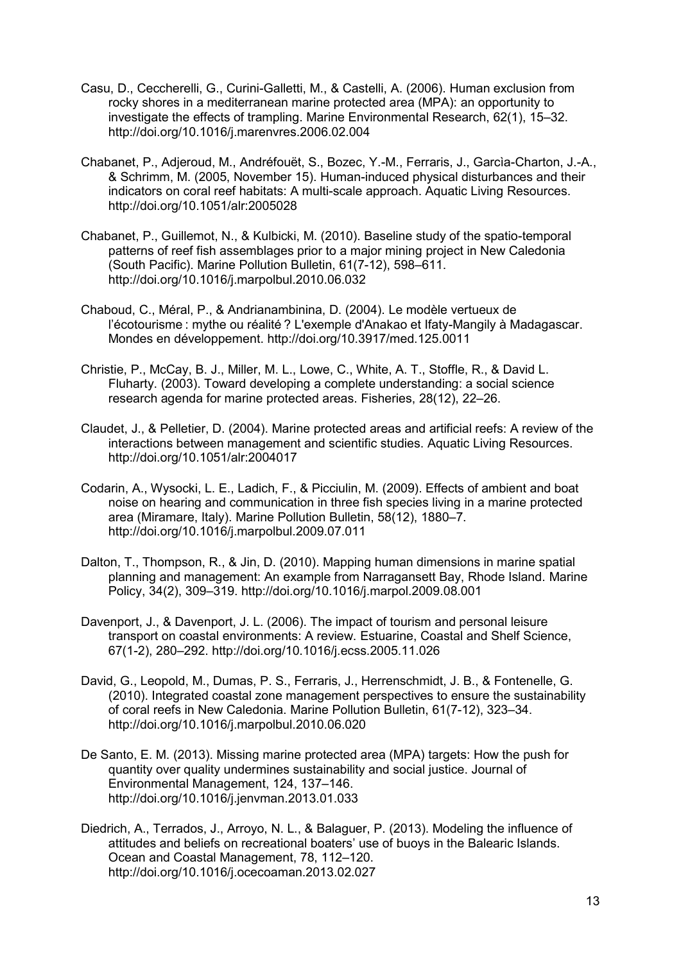- Casu, D., Ceccherelli, G., Curini-Galletti, M., & Castelli, A. (2006). Human exclusion from rocky shores in a mediterranean marine protected area (MPA): an opportunity to investigate the effects of trampling. Marine Environmental Research, 62(1), 15–32. http://doi.org/10.1016/j.marenvres.2006.02.004
- Chabanet, P., Adjeroud, M., Andréfouët, S., Bozec, Y.-M., Ferraris, J., Garcìa-Charton, J.-A., & Schrimm, M. (2005, November 15). Human-induced physical disturbances and their indicators on coral reef habitats: A multi-scale approach. Aquatic Living Resources. http://doi.org/10.1051/alr:2005028
- Chabanet, P., Guillemot, N., & Kulbicki, M. (2010). Baseline study of the spatio-temporal patterns of reef fish assemblages prior to a major mining project in New Caledonia (South Pacific). Marine Pollution Bulletin, 61(7-12), 598–611. http://doi.org/10.1016/j.marpolbul.2010.06.032
- Chaboud, C., Méral, P., & Andrianambinina, D. (2004). Le modèle vertueux de l'écotourisme : mythe ou réalité ? L'exemple d'Anakao et Ifaty-Mangily à Madagascar. Mondes en développement. http://doi.org/10.3917/med.125.0011
- Christie, P., McCay, B. J., Miller, M. L., Lowe, C., White, A. T., Stoffle, R., & David L. Fluharty. (2003). Toward developing a complete understanding: a social science research agenda for marine protected areas. Fisheries, 28(12), 22–26.
- Claudet, J., & Pelletier, D. (2004). Marine protected areas and artificial reefs: A review of the interactions between management and scientific studies. Aquatic Living Resources. http://doi.org/10.1051/alr:2004017
- Codarin, A., Wysocki, L. E., Ladich, F., & Picciulin, M. (2009). Effects of ambient and boat noise on hearing and communication in three fish species living in a marine protected area (Miramare, Italy). Marine Pollution Bulletin, 58(12), 1880–7. http://doi.org/10.1016/j.marpolbul.2009.07.011
- Dalton, T., Thompson, R., & Jin, D. (2010). Mapping human dimensions in marine spatial planning and management: An example from Narragansett Bay, Rhode Island. Marine Policy, 34(2), 309–319. http://doi.org/10.1016/j.marpol.2009.08.001
- Davenport, J., & Davenport, J. L. (2006). The impact of tourism and personal leisure transport on coastal environments: A review. Estuarine, Coastal and Shelf Science, 67(1-2), 280–292. http://doi.org/10.1016/j.ecss.2005.11.026
- David, G., Leopold, M., Dumas, P. S., Ferraris, J., Herrenschmidt, J. B., & Fontenelle, G. (2010). Integrated coastal zone management perspectives to ensure the sustainability of coral reefs in New Caledonia. Marine Pollution Bulletin, 61(7-12), 323–34. http://doi.org/10.1016/j.marpolbul.2010.06.020
- De Santo, E. M. (2013). Missing marine protected area (MPA) targets: How the push for quantity over quality undermines sustainability and social justice. Journal of Environmental Management, 124, 137–146. http://doi.org/10.1016/j.jenvman.2013.01.033
- Diedrich, A., Terrados, J., Arroyo, N. L., & Balaguer, P. (2013). Modeling the influence of attitudes and beliefs on recreational boaters' use of buoys in the Balearic Islands. Ocean and Coastal Management, 78, 112–120. http://doi.org/10.1016/j.ocecoaman.2013.02.027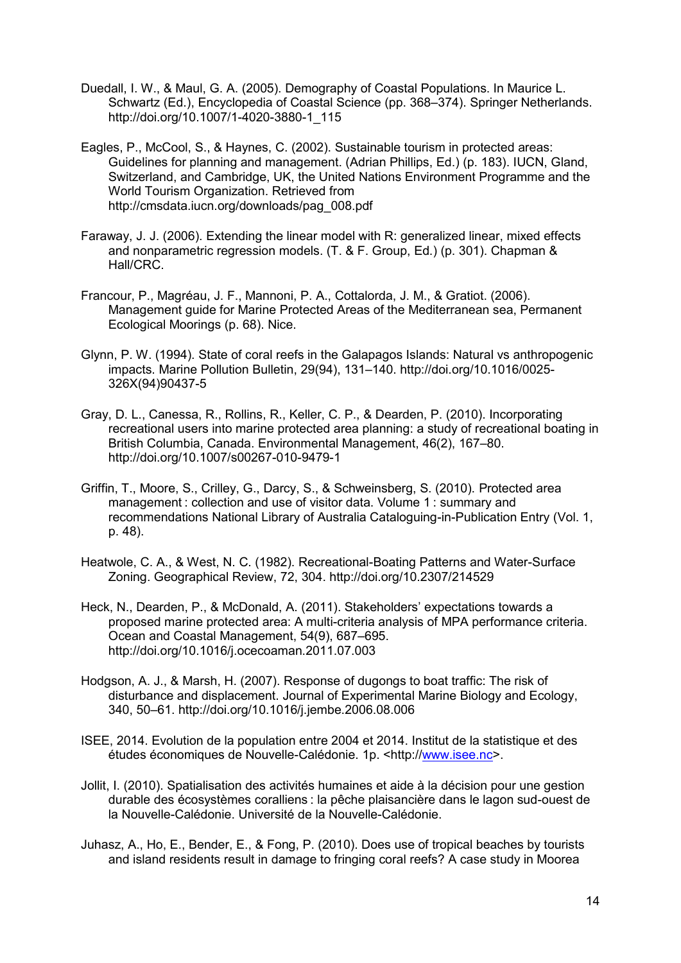- Duedall, I. W., & Maul, G. A. (2005). Demography of Coastal Populations. In Maurice L. Schwartz (Ed.), Encyclopedia of Coastal Science (pp. 368–374). Springer Netherlands. http://doi.org/10.1007/1-4020-3880-1\_115
- Eagles, P., McCool, S., & Haynes, C. (2002). Sustainable tourism in protected areas: Guidelines for planning and management. (Adrian Phillips, Ed.) (p. 183). IUCN, Gland, Switzerland, and Cambridge, UK, the United Nations Environment Programme and the World Tourism Organization. Retrieved from http://cmsdata.iucn.org/downloads/pag\_008.pdf
- Faraway, J. J. (2006). Extending the linear model with R: generalized linear, mixed effects and nonparametric regression models. (T. & F. Group, Ed.) (p. 301). Chapman & Hall/CRC.
- Francour, P., Magréau, J. F., Mannoni, P. A., Cottalorda, J. M., & Gratiot. (2006). Management guide for Marine Protected Areas of the Mediterranean sea, Permanent Ecological Moorings (p. 68). Nice.
- Glynn, P. W. (1994). State of coral reefs in the Galapagos Islands: Natural vs anthropogenic impacts. Marine Pollution Bulletin, 29(94), 131–140. http://doi.org/10.1016/0025- 326X(94)90437-5
- Gray, D. L., Canessa, R., Rollins, R., Keller, C. P., & Dearden, P. (2010). Incorporating recreational users into marine protected area planning: a study of recreational boating in British Columbia, Canada. Environmental Management, 46(2), 167–80. http://doi.org/10.1007/s00267-010-9479-1
- Griffin, T., Moore, S., Crilley, G., Darcy, S., & Schweinsberg, S. (2010). Protected area management : collection and use of visitor data. Volume 1 : summary and recommendations National Library of Australia Cataloguing-in-Publication Entry (Vol. 1, p. 48).
- Heatwole, C. A., & West, N. C. (1982). Recreational-Boating Patterns and Water-Surface Zoning. Geographical Review, 72, 304. http://doi.org/10.2307/214529
- Heck, N., Dearden, P., & McDonald, A. (2011). Stakeholders' expectations towards a proposed marine protected area: A multi-criteria analysis of MPA performance criteria. Ocean and Coastal Management, 54(9), 687–695. http://doi.org/10.1016/j.ocecoaman.2011.07.003
- Hodgson, A. J., & Marsh, H. (2007). Response of dugongs to boat traffic: The risk of disturbance and displacement. Journal of Experimental Marine Biology and Ecology, 340, 50–61. http://doi.org/10.1016/j.jembe.2006.08.006
- ISEE, 2014. Evolution de la population entre 2004 et 2014. Institut de la statistique et des études économiques de Nouvelle-Calédonie. 1p. <http:/[/www.isee.nc>](http://www.isee.nc/).
- Jollit, I. (2010). Spatialisation des activités humaines et aide à la décision pour une gestion durable des écosystèmes coralliens : la pêche plaisancière dans le lagon sud-ouest de la Nouvelle-Calédonie. Université de la Nouvelle-Calédonie.
- Juhasz, A., Ho, E., Bender, E., & Fong, P. (2010). Does use of tropical beaches by tourists and island residents result in damage to fringing coral reefs? A case study in Moorea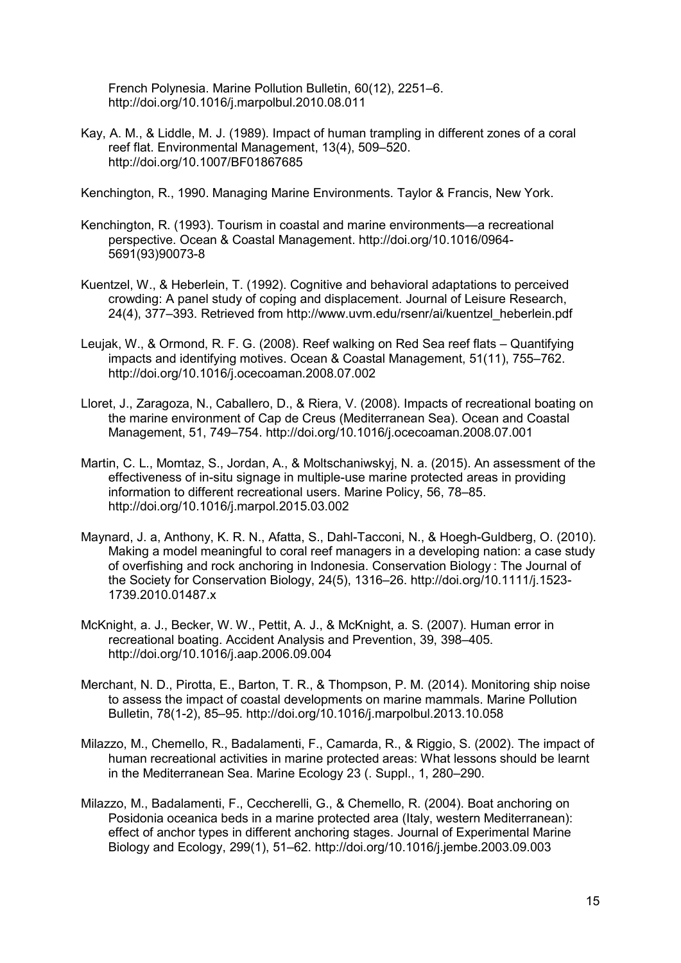French Polynesia. Marine Pollution Bulletin, 60(12), 2251–6. http://doi.org/10.1016/j.marpolbul.2010.08.011

Kay, A. M., & Liddle, M. J. (1989). Impact of human trampling in different zones of a coral reef flat. Environmental Management, 13(4), 509–520. http://doi.org/10.1007/BF01867685

Kenchington, R., 1990. Managing Marine Environments. Taylor & Francis, New York.

- Kenchington, R. (1993). Tourism in coastal and marine environments—a recreational perspective. Ocean & Coastal Management. http://doi.org/10.1016/0964- 5691(93)90073-8
- Kuentzel, W., & Heberlein, T. (1992). Cognitive and behavioral adaptations to perceived crowding: A panel study of coping and displacement. Journal of Leisure Research, 24(4), 377–393. Retrieved from http://www.uvm.edu/rsenr/ai/kuentzel\_heberlein.pdf
- Leujak, W., & Ormond, R. F. G. (2008). Reef walking on Red Sea reef flats Quantifying impacts and identifying motives. Ocean & Coastal Management, 51(11), 755–762. http://doi.org/10.1016/j.ocecoaman.2008.07.002
- Lloret, J., Zaragoza, N., Caballero, D., & Riera, V. (2008). Impacts of recreational boating on the marine environment of Cap de Creus (Mediterranean Sea). Ocean and Coastal Management, 51, 749–754. http://doi.org/10.1016/j.ocecoaman.2008.07.001
- Martin, C. L., Momtaz, S., Jordan, A., & Moltschaniwskyj, N. a. (2015). An assessment of the effectiveness of in-situ signage in multiple-use marine protected areas in providing information to different recreational users. Marine Policy, 56, 78–85. http://doi.org/10.1016/j.marpol.2015.03.002
- Maynard, J. a, Anthony, K. R. N., Afatta, S., Dahl-Tacconi, N., & Hoegh-Guldberg, O. (2010). Making a model meaningful to coral reef managers in a developing nation: a case study of overfishing and rock anchoring in Indonesia. Conservation Biology : The Journal of the Society for Conservation Biology, 24(5), 1316–26. http://doi.org/10.1111/j.1523- 1739.2010.01487.x
- McKnight, a. J., Becker, W. W., Pettit, A. J., & McKnight, a. S. (2007). Human error in recreational boating. Accident Analysis and Prevention, 39, 398–405. http://doi.org/10.1016/j.aap.2006.09.004
- Merchant, N. D., Pirotta, E., Barton, T. R., & Thompson, P. M. (2014). Monitoring ship noise to assess the impact of coastal developments on marine mammals. Marine Pollution Bulletin, 78(1-2), 85–95. http://doi.org/10.1016/j.marpolbul.2013.10.058
- Milazzo, M., Chemello, R., Badalamenti, F., Camarda, R., & Riggio, S. (2002). The impact of human recreational activities in marine protected areas: What lessons should be learnt in the Mediterranean Sea. Marine Ecology 23 (. Suppl., 1, 280–290.
- Milazzo, M., Badalamenti, F., Ceccherelli, G., & Chemello, R. (2004). Boat anchoring on Posidonia oceanica beds in a marine protected area (Italy, western Mediterranean): effect of anchor types in different anchoring stages. Journal of Experimental Marine Biology and Ecology, 299(1), 51–62. http://doi.org/10.1016/j.jembe.2003.09.003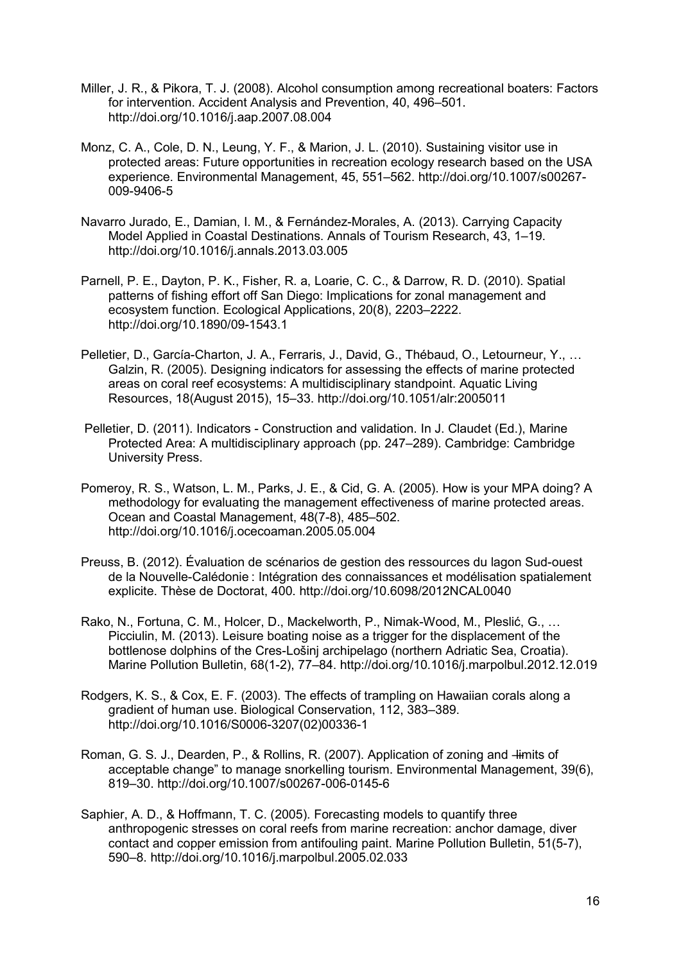- Miller, J. R., & Pikora, T. J. (2008). Alcohol consumption among recreational boaters: Factors for intervention. Accident Analysis and Prevention, 40, 496–501. http://doi.org/10.1016/j.aap.2007.08.004
- Monz, C. A., Cole, D. N., Leung, Y. F., & Marion, J. L. (2010). Sustaining visitor use in protected areas: Future opportunities in recreation ecology research based on the USA experience. Environmental Management, 45, 551–562. http://doi.org/10.1007/s00267- 009-9406-5
- Navarro Jurado, E., Damian, I. M., & Fernández-Morales, A. (2013). Carrying Capacity Model Applied in Coastal Destinations. Annals of Tourism Research, 43, 1–19. http://doi.org/10.1016/j.annals.2013.03.005
- Parnell, P. E., Dayton, P. K., Fisher, R. a, Loarie, C. C., & Darrow, R. D. (2010). Spatial patterns of fishing effort off San Diego: Implications for zonal management and ecosystem function. Ecological Applications, 20(8), 2203–2222. http://doi.org/10.1890/09-1543.1
- Pelletier, D., García-Charton, J. A., Ferraris, J., David, G., Thébaud, O., Letourneur, Y., … Galzin, R. (2005). Designing indicators for assessing the effects of marine protected areas on coral reef ecosystems: A multidisciplinary standpoint. Aquatic Living Resources, 18(August 2015), 15–33. http://doi.org/10.1051/alr:2005011
- Pelletier, D. (2011). Indicators Construction and validation. In J. Claudet (Ed.), Marine Protected Area: A multidisciplinary approach (pp. 247–289). Cambridge: Cambridge University Press.
- Pomeroy, R. S., Watson, L. M., Parks, J. E., & Cid, G. A. (2005). How is your MPA doing? A methodology for evaluating the management effectiveness of marine protected areas. Ocean and Coastal Management, 48(7-8), 485–502. http://doi.org/10.1016/j.ocecoaman.2005.05.004
- Preuss, B. (2012). Évaluation de scénarios de gestion des ressources du lagon Sud-ouest de la Nouvelle-Calédonie : Intégration des connaissances et modélisation spatialement explicite. Thèse de Doctorat, 400. http://doi.org/10.6098/2012NCAL0040
- Rako, N., Fortuna, C. M., Holcer, D., Mackelworth, P., Nimak-Wood, M., Pleslić, G., … Picciulin, M. (2013). Leisure boating noise as a trigger for the displacement of the bottlenose dolphins of the Cres-Lošinj archipelago (northern Adriatic Sea, Croatia). Marine Pollution Bulletin, 68(1-2), 77–84. http://doi.org/10.1016/j.marpolbul.2012.12.019
- Rodgers, K. S., & Cox, E. F. (2003). The effects of trampling on Hawaiian corals along a gradient of human use. Biological Conservation, 112, 383–389. http://doi.org/10.1016/S0006-3207(02)00336-1
- Roman, G. S. J., Dearden, P., & Rollins, R. (2007). Application of zoning and  $\frac{1}{2}$  imits of acceptable change" to manage snorkelling tourism. Environmental Management, 39(6), 819–30. http://doi.org/10.1007/s00267-006-0145-6
- Saphier, A. D., & Hoffmann, T. C. (2005). Forecasting models to quantify three anthropogenic stresses on coral reefs from marine recreation: anchor damage, diver contact and copper emission from antifouling paint. Marine Pollution Bulletin, 51(5-7), 590–8. http://doi.org/10.1016/j.marpolbul.2005.02.033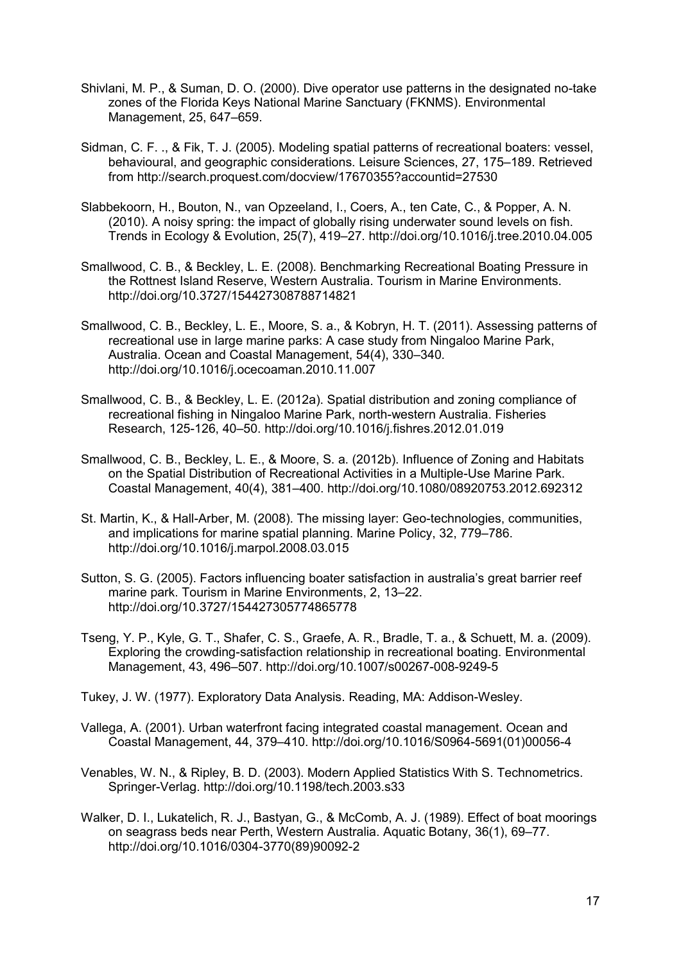- Shivlani, M. P., & Suman, D. O. (2000). Dive operator use patterns in the designated no-take zones of the Florida Keys National Marine Sanctuary (FKNMS). Environmental Management, 25, 647–659.
- Sidman, C. F. ., & Fik, T. J. (2005). Modeling spatial patterns of recreational boaters: vessel, behavioural, and geographic considerations. Leisure Sciences, 27, 175–189. Retrieved from http://search.proquest.com/docview/17670355?accountid=27530
- Slabbekoorn, H., Bouton, N., van Opzeeland, I., Coers, A., ten Cate, C., & Popper, A. N. (2010). A noisy spring: the impact of globally rising underwater sound levels on fish. Trends in Ecology & Evolution, 25(7), 419–27. http://doi.org/10.1016/j.tree.2010.04.005
- Smallwood, C. B., & Beckley, L. E. (2008). Benchmarking Recreational Boating Pressure in the Rottnest Island Reserve, Western Australia. Tourism in Marine Environments. http://doi.org/10.3727/154427308788714821
- Smallwood, C. B., Beckley, L. E., Moore, S. a., & Kobryn, H. T. (2011). Assessing patterns of recreational use in large marine parks: A case study from Ningaloo Marine Park, Australia. Ocean and Coastal Management, 54(4), 330–340. http://doi.org/10.1016/j.ocecoaman.2010.11.007
- Smallwood, C. B., & Beckley, L. E. (2012a). Spatial distribution and zoning compliance of recreational fishing in Ningaloo Marine Park, north-western Australia. Fisheries Research, 125-126, 40–50. http://doi.org/10.1016/j.fishres.2012.01.019
- Smallwood, C. B., Beckley, L. E., & Moore, S. a. (2012b). Influence of Zoning and Habitats on the Spatial Distribution of Recreational Activities in a Multiple-Use Marine Park. Coastal Management, 40(4), 381–400. http://doi.org/10.1080/08920753.2012.692312
- St. Martin, K., & Hall-Arber, M. (2008). The missing layer: Geo-technologies, communities, and implications for marine spatial planning. Marine Policy, 32, 779–786. http://doi.org/10.1016/j.marpol.2008.03.015
- Sutton, S. G. (2005). Factors influencing boater satisfaction in australia's great barrier reef marine park. Tourism in Marine Environments, 2, 13–22. http://doi.org/10.3727/154427305774865778
- Tseng, Y. P., Kyle, G. T., Shafer, C. S., Graefe, A. R., Bradle, T. a., & Schuett, M. a. (2009). Exploring the crowding-satisfaction relationship in recreational boating. Environmental Management, 43, 496–507. http://doi.org/10.1007/s00267-008-9249-5
- Tukey, J. W. (1977). Exploratory Data Analysis. Reading, MA: Addison-Wesley.
- Vallega, A. (2001). Urban waterfront facing integrated coastal management. Ocean and Coastal Management, 44, 379–410. http://doi.org/10.1016/S0964-5691(01)00056-4
- Venables, W. N., & Ripley, B. D. (2003). Modern Applied Statistics With S. Technometrics. Springer-Verlag. http://doi.org/10.1198/tech.2003.s33
- Walker, D. I., Lukatelich, R. J., Bastyan, G., & McComb, A. J. (1989). Effect of boat moorings on seagrass beds near Perth, Western Australia. Aquatic Botany, 36(1), 69–77. http://doi.org/10.1016/0304-3770(89)90092-2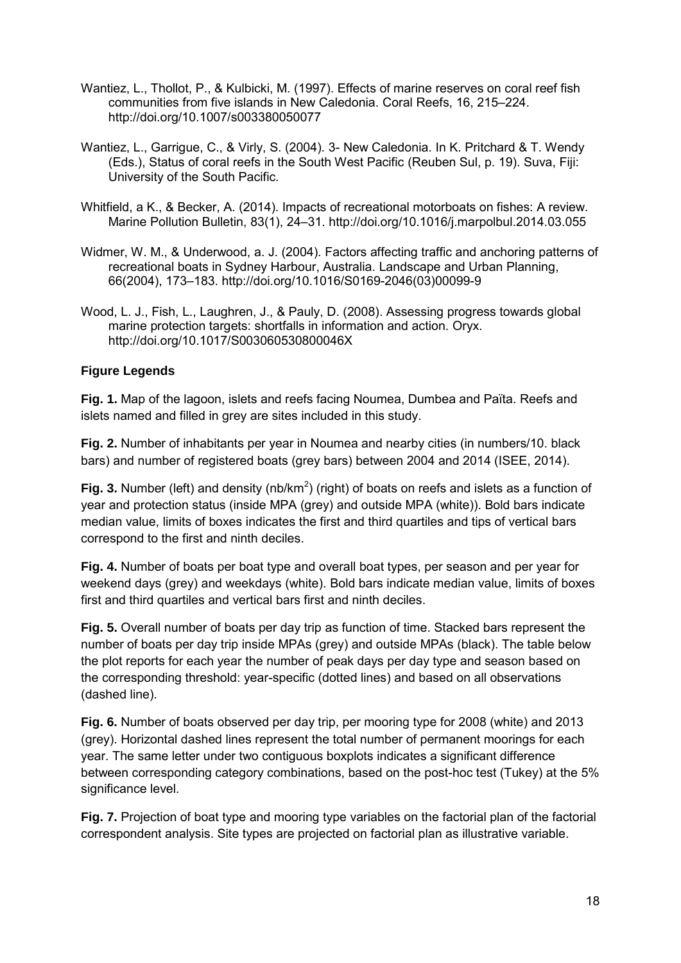- Wantiez, L., Thollot, P., & Kulbicki, M. (1997). Effects of marine reserves on coral reef fish communities from five islands in New Caledonia. Coral Reefs, 16, 215–224. http://doi.org/10.1007/s003380050077
- Wantiez, L., Garrigue, C., & Virly, S. (2004). 3- New Caledonia. In K. Pritchard & T. Wendy (Eds.), Status of coral reefs in the South West Pacific (Reuben Sul, p. 19). Suva, Fiji: University of the South Pacific.
- Whitfield, a K., & Becker, A. (2014). Impacts of recreational motorboats on fishes: A review. Marine Pollution Bulletin, 83(1), 24–31. http://doi.org/10.1016/j.marpolbul.2014.03.055
- Widmer, W. M., & Underwood, a. J. (2004). Factors affecting traffic and anchoring patterns of recreational boats in Sydney Harbour, Australia. Landscape and Urban Planning, 66(2004), 173–183. http://doi.org/10.1016/S0169-2046(03)00099-9
- Wood, L. J., Fish, L., Laughren, J., & Pauly, D. (2008). Assessing progress towards global marine protection targets: shortfalls in information and action. Oryx. http://doi.org/10.1017/S003060530800046X

### **Figure Legends**

**Fig. 1.** Map of the lagoon, islets and reefs facing Noumea, Dumbea and Païta. Reefs and islets named and filled in grey are sites included in this study.

**Fig. 2.** Number of inhabitants per year in Noumea and nearby cities (in numbers/10. black bars) and number of registered boats (grey bars) between 2004 and 2014 (ISEE, 2014).

Fig. 3. Number (left) and density (nb/km<sup>2</sup>) (right) of boats on reefs and islets as a function of year and protection status (inside MPA (grey) and outside MPA (white)). Bold bars indicate median value, limits of boxes indicates the first and third quartiles and tips of vertical bars correspond to the first and ninth deciles.

**Fig. 4.** Number of boats per boat type and overall boat types, per season and per year for weekend days (grey) and weekdays (white). Bold bars indicate median value, limits of boxes first and third quartiles and vertical bars first and ninth deciles.

**Fig. 5.** Overall number of boats per day trip as function of time. Stacked bars represent the number of boats per day trip inside MPAs (grey) and outside MPAs (black). The table below the plot reports for each year the number of peak days per day type and season based on the corresponding threshold: year-specific (dotted lines) and based on all observations (dashed line).

**Fig. 6.** Number of boats observed per day trip, per mooring type for 2008 (white) and 2013 (grey). Horizontal dashed lines represent the total number of permanent moorings for each year. The same letter under two contiguous boxplots indicates a significant difference between corresponding category combinations, based on the post-hoc test (Tukey) at the 5% significance level.

**Fig. 7.** Projection of boat type and mooring type variables on the factorial plan of the factorial correspondent analysis. Site types are projected on factorial plan as illustrative variable.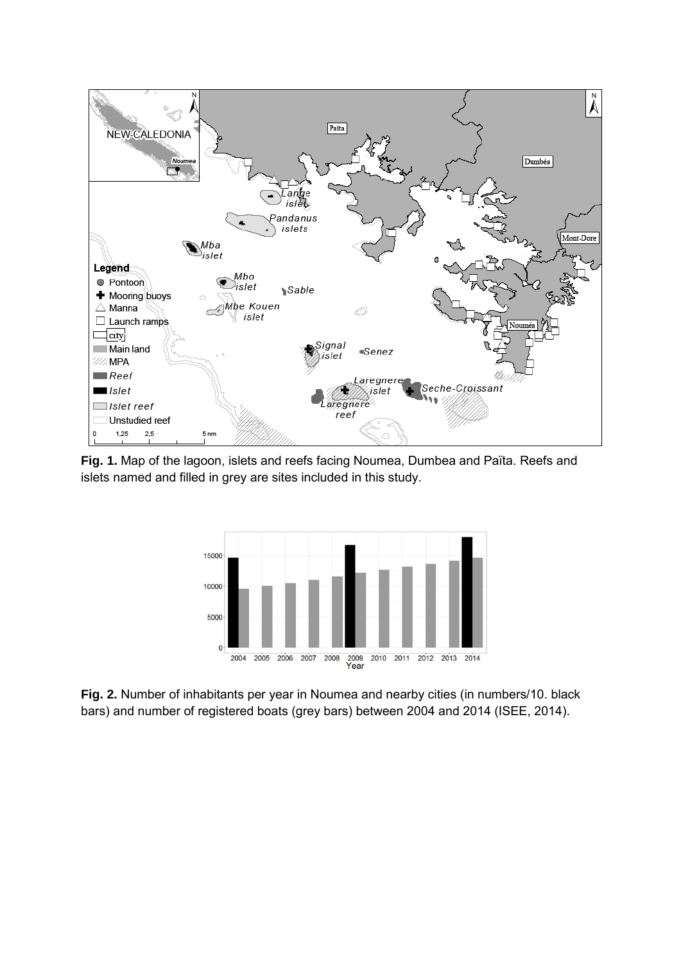

**Fig. 1.** Map of the lagoon, islets and reefs facing Noumea, Dumbea and Païta. Reefs and islets named and filled in grey are sites included in this study.



**Fig. 2.** Number of inhabitants per year in Noumea and nearby cities (in numbers/10. black bars) and number of registered boats (grey bars) between 2004 and 2014 (ISEE, 2014).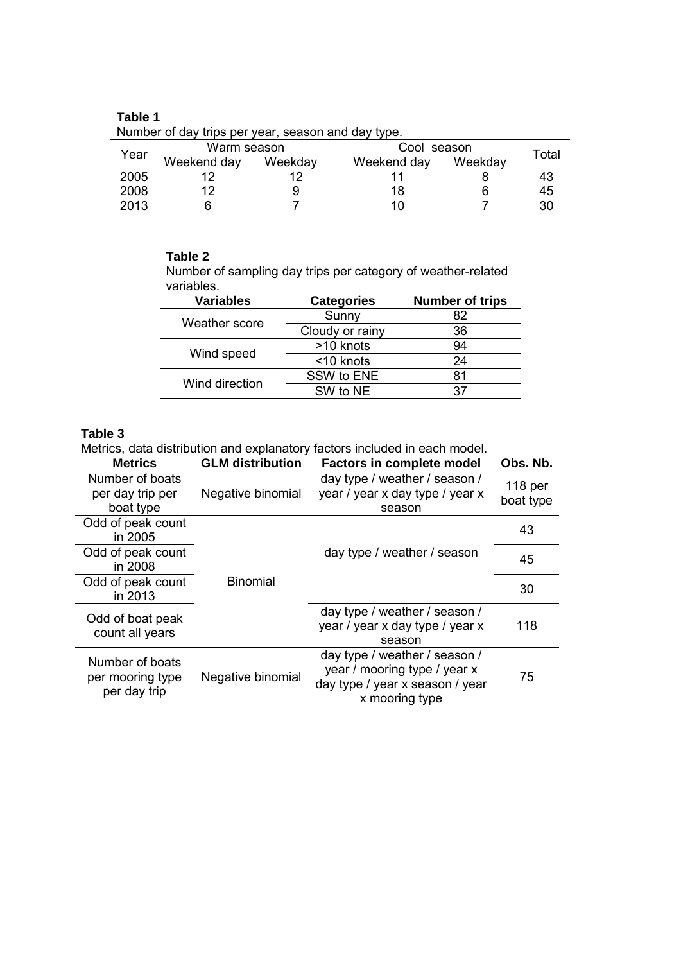| Table 1 |                                                    |         |             |     |
|---------|----------------------------------------------------|---------|-------------|-----|
|         | Number of day trips per year, season and day type. |         |             |     |
|         | Warm season                                        |         | Cool season |     |
| Year    | Weekend day                                        | Weekdav | Weekend dav | Wee |

| Year | Warm season |         | Cool season | Total   |    |
|------|-------------|---------|-------------|---------|----|
|      | Weekend day | Weekday | Weekend day | Weekday |    |
| 2005 |             |         |             |         | 43 |
| 2008 |             |         | 18          |         | 45 |
| 2013 |             |         |             |         | 30 |

#### **Table 2**

Number of sampling day trips per category of weather-related variables.

| <b>Variables</b> | <b>Categories</b> | <b>Number of trips</b> |  |
|------------------|-------------------|------------------------|--|
| Weather score    | Sunny             | 82                     |  |
|                  | Cloudy or rainy   | 36                     |  |
|                  | >10 knots         | 94                     |  |
| Wind speed       | <10 knots         | 24                     |  |
|                  | SSW to ENE        | 81                     |  |
| Wind direction   | SW to NE          | 37                     |  |
|                  |                   |                        |  |

### **Table 3**

Metrics, data distribution and explanatory factors included in each model.

| <b>Metrics</b>                                      | <b>GLM</b> distribution | <b>Factors in complete model</b>                                                                                   | Obs. Nb.             |
|-----------------------------------------------------|-------------------------|--------------------------------------------------------------------------------------------------------------------|----------------------|
| Number of boats<br>per day trip per<br>boat type    | Negative binomial       | day type / weather / season /<br>year / year x day type / year x<br>season                                         | 118 per<br>boat type |
| Odd of peak count<br>in 2005                        |                         |                                                                                                                    | 43                   |
| Odd of peak count<br>in 2008                        |                         | day type / weather / season                                                                                        | 45                   |
| Odd of peak count<br>in 2013                        | <b>Binomial</b>         |                                                                                                                    | 30                   |
| Odd of boat peak<br>count all years                 |                         | day type / weather / season /<br>year / year x day type / year x<br>season                                         | 118                  |
| Number of boats<br>per mooring type<br>per day trip | Negative binomial       | day type / weather / season /<br>year / mooring type / year x<br>day type / year x season / year<br>x mooring type | 75                   |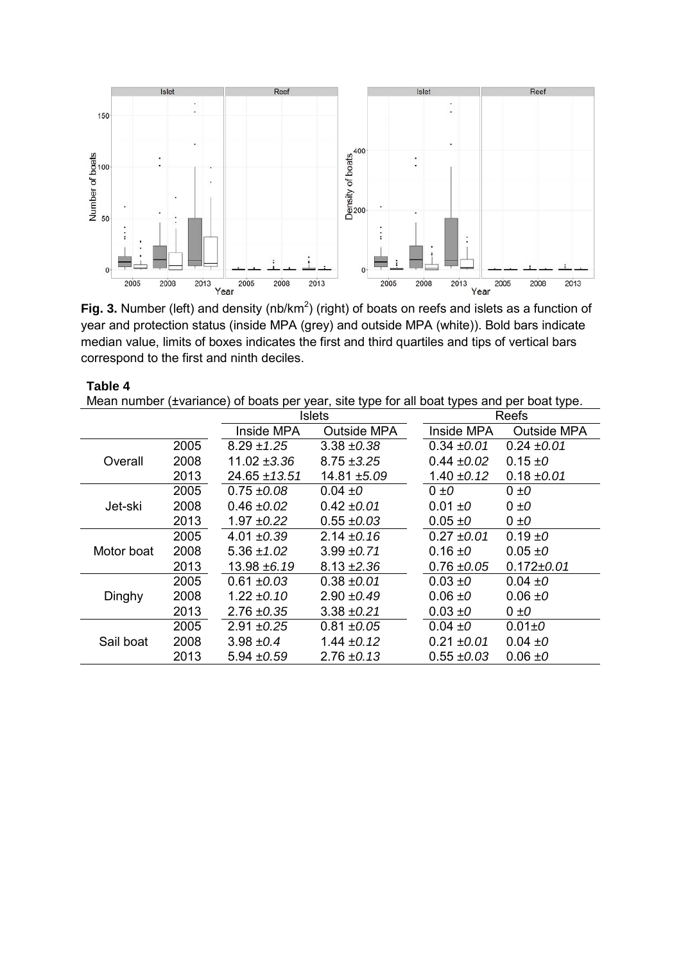

Fig. 3. Number (left) and density (nb/km<sup>2</sup>) (right) of boats on reefs and islets as a function of year and protection status (inside MPA (grey) and outside MPA (white)). Bold bars indicate median value, limits of boxes indicates the first and third quartiles and tips of vertical bars correspond to the first and ninth deciles.

| Table 4                                                                                    |      |                   |                 |                 |                    |  |  |
|--------------------------------------------------------------------------------------------|------|-------------------|-----------------|-----------------|--------------------|--|--|
| Mean number (±variance) of boats per year, site type for all boat types and per boat type. |      |                   |                 |                 |                    |  |  |
|                                                                                            |      |                   | Islets          |                 | Reefs              |  |  |
|                                                                                            |      | Inside MPA        | Outside MPA     | Inside MPA      | <b>Outside MPA</b> |  |  |
|                                                                                            | 2005 | $8.29 \pm 1.25$   | $3.38 \pm 0.38$ | $0.34 \pm 0.01$ | $0.24 \pm 0.01$    |  |  |
| Overall                                                                                    | 2008 | 11.02 $\pm 3.36$  | $8.75 \pm 3.25$ | $0.44 \pm 0.02$ | 0.15 $\pm 0$       |  |  |
|                                                                                            | 2013 | $24.65 \pm 13.51$ | 14.81 ±5.09     | 1.40 $\pm$ 0.12 | $0.18 \pm 0.01$    |  |  |
|                                                                                            | 2005 | $0.75 \pm 0.08$   | $0.04 \pm 0$    | $0 \pm 0$       | $0 \pm 0$          |  |  |
| Jet-ski                                                                                    | 2008 | $0.46 \pm 0.02$   | $0.42 \pm 0.01$ | $0.01 \pm 0$    | $0 \pm 0$          |  |  |
|                                                                                            | 2013 | 1.97 ±0.22        | $0.55 \pm 0.03$ | $0.05 \pm 0$    | $0 \pm 0$          |  |  |
|                                                                                            | 2005 | 4.01 $\pm 0.39$   | 2.14 $\pm 0.16$ | $0.27 \pm 0.01$ | 0.19 $\pm 0$       |  |  |
| Motor boat                                                                                 | 2008 | 5.36 $\pm$ 1.02   | $3.99 \pm 0.71$ | 0.16 $\pm 0$    | $0.05 \pm 0$       |  |  |
|                                                                                            | 2013 | 13.98 ±6.19       | $8.13 \pm 2.36$ | $0.76 \pm 0.05$ | $0.172 \pm 0.01$   |  |  |
|                                                                                            | 2005 | $0.61 \pm 0.03$   | $0.38 \pm 0.01$ | $0.03 \pm 0$    | 0.04 $\pm 0$       |  |  |
| Dinghy                                                                                     | 2008 | 1.22 $\pm$ 0.10   | $2.90 \pm 0.49$ | $0.06 \pm 0$    | $0.06 \pm 0$       |  |  |
|                                                                                            | 2013 | $2.76 \pm 0.35$   | $3.38 \pm 0.21$ | $0.03 \pm 0$    | $0 \pm 0$          |  |  |
|                                                                                            | 2005 | $2.91 \pm 0.25$   | $0.81 \pm 0.05$ | $0.04 \pm 0$    | $0.01 \pm 0$       |  |  |
| Sail boat                                                                                  | 2008 | 3.98 $\pm 0.4$    | 1.44 $\pm$ 0.12 | $0.21 \pm 0.01$ | 0.04 $\pm 0$       |  |  |
|                                                                                            | 2013 | 5.94 ± 0.59       | $2.76 \pm 0.13$ | $0.55 \pm 0.03$ | $0.06 \pm 0$       |  |  |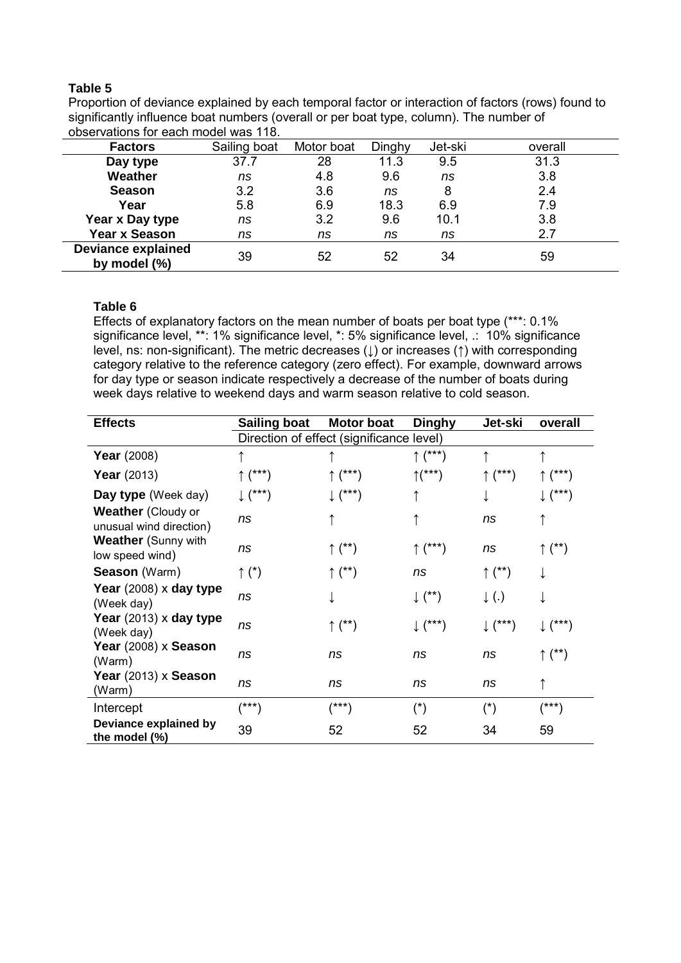#### **Table 5**

Proportion of deviance explained by each temporal factor or interaction of factors (rows) found to significantly influence boat numbers (overall or per boat type, column). The number of observations for each model was 118.

| <b>Factors</b>                               | Sailing boat | Motor boat | Dinghy | Jet-ski | overall |
|----------------------------------------------|--------------|------------|--------|---------|---------|
| Day type                                     | 37.7         | 28         | 11.3   | 9.5     | 31.3    |
| Weather                                      | ns           | 4.8        | 9.6    | ns      | 3.8     |
| <b>Season</b>                                | 3.2          | 3.6        | ns     | 8       | 2.4     |
| Year                                         | 5.8          | 6.9        | 18.3   | 6.9     | 7.9     |
| Year x Day type                              | ns           | 3.2        | 9.6    | 10.1    | 3.8     |
| <b>Year x Season</b>                         | ns           | ns         | ns     | ns      | 2.7     |
| <b>Deviance explained</b><br>by model $(\%)$ | 39           | 52         | 52     | 34      | 59      |

#### **Table 6**

Effects of explanatory factors on the mean number of boats per boat type (\*\*\*: 0.1% significance level, \*\*: 1% significance level, \*: 5% significance level, .: 10% significance level, ns: non-significant). The metric decreases (↓) or increases (↑) with corresponding category relative to the reference category (zero effect). For example, downward arrows for day type or season indicate respectively a decrease of the number of boats during week days relative to weekend days and warm season relative to cold season.

| <b>Effects</b>                                       | <b>Sailing boat</b>                      | <b>Motor boat</b>  | <b>Dinghy</b>      | Jet-ski            | overall            |
|------------------------------------------------------|------------------------------------------|--------------------|--------------------|--------------------|--------------------|
|                                                      | Direction of effect (significance level) |                    |                    |                    |                    |
| <b>Year</b> (2008)                                   |                                          |                    | $\uparrow$ (***)   |                    |                    |
| Year $(2013)$                                        | $\uparrow$ (***)                         | $\uparrow$ (***)   | $\uparrow$ (***)   | ↑ (***)            | ↑ (***)            |
| Day type (Week day)                                  | $\downarrow$ (***)                       | $\downarrow$ (***) |                    |                    | 」(***)             |
| <b>Weather</b> (Cloudy or<br>unusual wind direction) | ns                                       |                    |                    | ns                 |                    |
| <b>Weather</b> (Sunny with<br>low speed wind)        | ns                                       | $\uparrow$ (**)    | $\uparrow$ (***)   | ns                 | ↑ (**)             |
| <b>Season</b> (Warm)                                 | $\uparrow$ (*)                           | $\uparrow$ (**)    | ns                 | $\uparrow$ (**)    |                    |
| Year (2008) x day type<br>(Week day)                 | ns                                       |                    | $\downarrow$ (**)  | $\downarrow$ (.)   |                    |
| Year (2013) x day type<br>(Week day)                 | ns                                       | $\uparrow$ (**)    | $\downarrow$ (***) | $\downarrow$ (***) | $\downarrow$ (***) |
| Year (2008) x Season<br>(Warm)                       | ns                                       | ns                 | ns                 | ns                 | $\uparrow$ (**)    |
| Year (2013) x Season<br>(Warm)                       | ns                                       | ns                 | ns                 | ns                 |                    |
| Intercept                                            | (***)                                    | /***\              | $(\dot{r})$        | $(*)$              | (***)              |
| Deviance explained by<br>the model (%)               | 39                                       | 52                 | 52                 | 34                 | 59                 |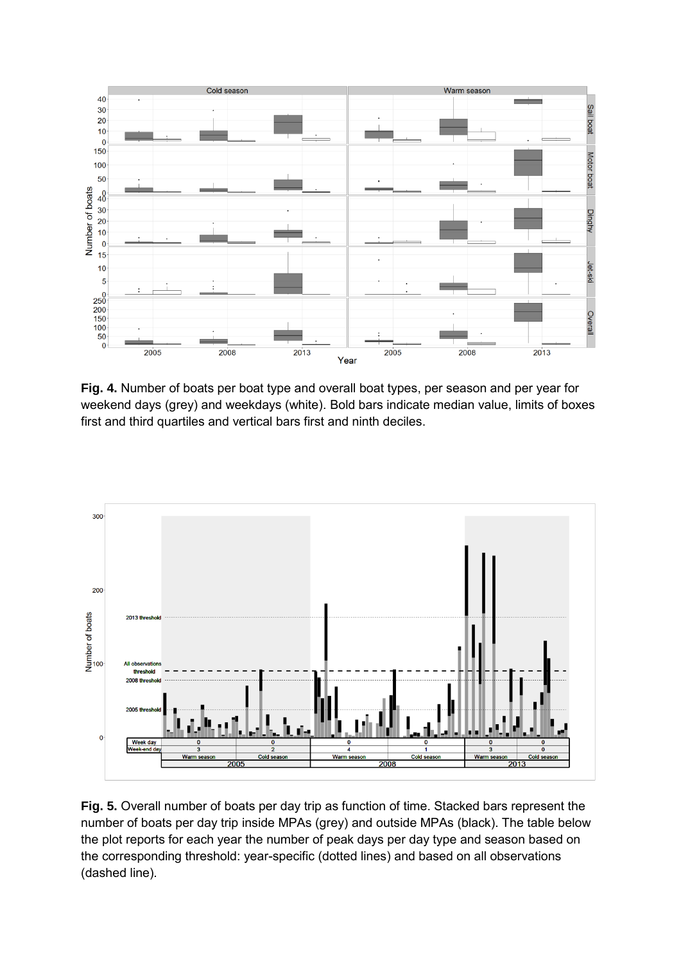

**Fig. 4.** Number of boats per boat type and overall boat types, per season and per year for weekend days (grey) and weekdays (white). Bold bars indicate median value, limits of boxes first and third quartiles and vertical bars first and ninth deciles.



**Fig. 5.** Overall number of boats per day trip as function of time. Stacked bars represent the number of boats per day trip inside MPAs (grey) and outside MPAs (black). The table below the plot reports for each year the number of peak days per day type and season based on the corresponding threshold: year-specific (dotted lines) and based on all observations (dashed line).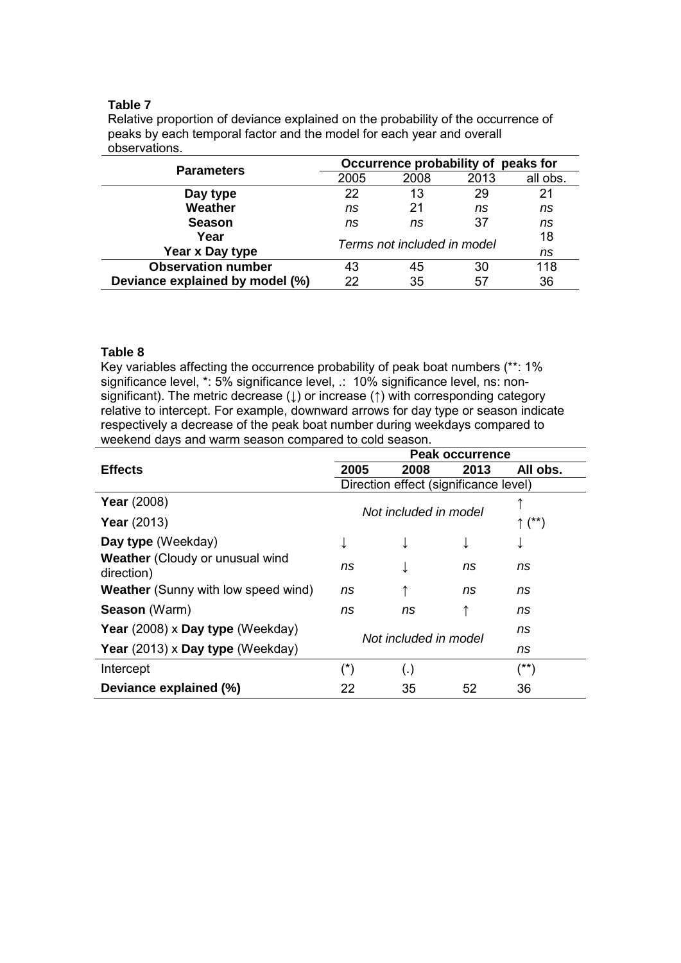#### **Table 7**

Relative proportion of deviance explained on the probability of the occurrence of peaks by each temporal factor and the model for each year and overall observations.

| <b>Parameters</b>               | Occurrence probability of peaks for |      |      |          |  |
|---------------------------------|-------------------------------------|------|------|----------|--|
|                                 | 2005                                | 2008 | 2013 | all obs. |  |
| Day type                        | 22                                  | 13   | 29   | 21       |  |
| Weather                         | ns                                  | 21   | ns   | ns       |  |
| <b>Season</b>                   | ns                                  | ns   | 37   | ns       |  |
| Year                            |                                     | 18   |      |          |  |
| Year x Day type                 | Terms not included in model         |      |      | ns       |  |
| <b>Observation number</b>       | 43                                  | 45   | 30   | 118      |  |
| Deviance explained by model (%) | 22                                  | 35   | 57   | 36       |  |

#### **Table 8**

Key variables affecting the occurrence probability of peak boat numbers (\*\*: 1% significance level, \*: 5% significance level, .: 10% significance level, ns: nonsignificant). The metric decrease (↓) or increase (↑) with corresponding category relative to intercept. For example, downward arrows for day type or season indicate respectively a decrease of the peak boat number during weekdays compared to weekend days and warm season compared to cold season.

|                                                      | <b>Peak occurrence</b>                   |      |                                       |                 |  |
|------------------------------------------------------|------------------------------------------|------|---------------------------------------|-----------------|--|
| <b>Effects</b>                                       | 2005                                     | 2008 | 2013                                  | All obs.        |  |
|                                                      |                                          |      | Direction effect (significance level) |                 |  |
| <b>Year</b> (2008)                                   |                                          |      |                                       |                 |  |
| <b>Year</b> (2013)                                   | Not included in model<br>$\uparrow$ (**) |      |                                       |                 |  |
| Day type (Weekday)                                   |                                          |      |                                       | ↓               |  |
| <b>Weather</b> (Cloudy or unusual wind<br>direction) | ns                                       |      | ns                                    | ns              |  |
| <b>Weather</b> (Sunny with low speed wind)           | ns                                       |      | ns                                    | ns              |  |
| Season (Warm)                                        | ns                                       | ns   | ↑                                     | ns              |  |
| Year (2008) x Day type (Weekday)                     |                                          |      | ns                                    |                 |  |
| Year (2013) x Day type (Weekday)                     | Not included in model                    |      |                                       | ns              |  |
| Intercept                                            | $(\dot{\phantom{a}})$                    | (.)  |                                       | $(\texttt{**})$ |  |
| Deviance explained (%)                               | 22                                       | 35   | 52                                    | 36              |  |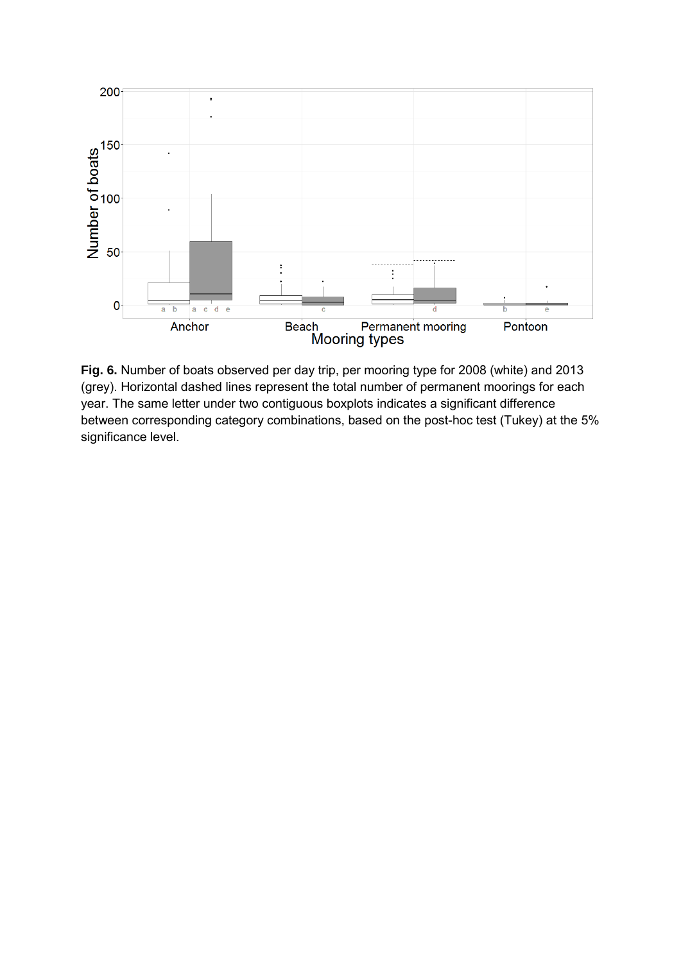

**Fig. 6.** Number of boats observed per day trip, per mooring type for 2008 (white) and 2013 (grey). Horizontal dashed lines represent the total number of permanent moorings for each year. The same letter under two contiguous boxplots indicates a significant difference between corresponding category combinations, based on the post-hoc test (Tukey) at the 5% significance level.